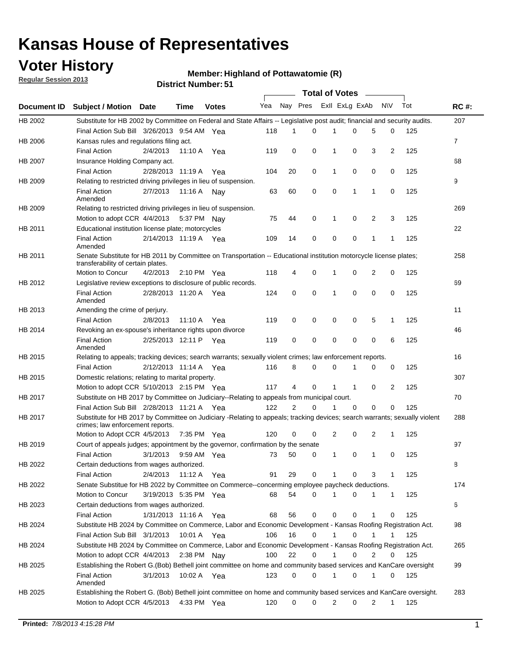## **Voter History**

**Member: Highland of Pottawatomie (R)** 

**Regular Session 2013**

|                    |                                                                                                                                                                |                       | ו ט . וסעווואזו וטווער |              |              |    | Total of Votes __ |              |                |                |                |     |                |
|--------------------|----------------------------------------------------------------------------------------------------------------------------------------------------------------|-----------------------|------------------------|--------------|--------------|----|-------------------|--------------|----------------|----------------|----------------|-----|----------------|
| <b>Document ID</b> | <b>Subject / Motion Date</b>                                                                                                                                   |                       | Time                   | <b>Votes</b> | Yea Nay Pres |    |                   |              | Exll ExLg ExAb |                | <b>NV</b>      | Tot | <b>RC#:</b>    |
| HB 2002            | Substitute for HB 2002 by Committee on Federal and State Affairs -- Legislative post audit; financial and security audits.                                     |                       |                        |              |              |    |                   |              |                |                |                |     | 207            |
|                    | Final Action Sub Bill 3/26/2013 9:54 AM Yea                                                                                                                    |                       |                        |              | 118          | 1  | $\Omega$          |              | 0              | 5              | 0              | 125 |                |
| HB 2006            | Kansas rules and regulations filing act.                                                                                                                       |                       |                        |              |              |    |                   |              |                |                |                |     | $\overline{7}$ |
|                    | <b>Final Action</b>                                                                                                                                            | 2/4/2013              | 11:10 A Yea            |              | 119          | 0  | 0                 | 1            | 0              | 3              | $\overline{2}$ | 125 |                |
| HB 2007            | Insurance Holding Company act.                                                                                                                                 |                       |                        |              |              |    |                   |              |                |                |                |     | 68             |
|                    | <b>Final Action</b>                                                                                                                                            | 2/28/2013 11:19 A     |                        | Yea          | 104          | 20 | 0                 | 1            | 0              | 0              | 0              | 125 |                |
| HB 2009            | Relating to restricted driving privileges in lieu of suspension.                                                                                               |                       |                        |              |              |    |                   |              |                |                |                |     | 9              |
|                    | <b>Final Action</b><br>Amended                                                                                                                                 | 2/7/2013              | 11:16 A Nay            |              | 63           | 60 | 0                 | 0            | 1              | 1              | 0              | 125 |                |
| HB 2009            | Relating to restricted driving privileges in lieu of suspension.                                                                                               |                       |                        |              |              |    |                   |              |                |                |                |     | 269            |
|                    | Motion to adopt CCR 4/4/2013                                                                                                                                   |                       | 5:37 PM Nay            |              | 75           | 44 | 0                 | 1            | 0              | 2              | 3              | 125 |                |
| HB 2011            | Educational institution license plate; motorcycles                                                                                                             |                       |                        |              |              |    |                   |              |                |                |                |     | 22             |
|                    | <b>Final Action</b><br>Amended                                                                                                                                 | 2/14/2013 11:19 A Yea |                        |              | 109          | 14 | 0                 | 0            | 0              | 1              | 1              | 125 |                |
| HB 2011            | Senate Substitute for HB 2011 by Committee on Transportation -- Educational institution motorcycle license plates;                                             |                       |                        |              |              |    |                   |              |                |                |                |     | 258            |
|                    | transferability of certain plates.                                                                                                                             |                       |                        |              |              |    |                   |              |                |                |                |     |                |
|                    | Motion to Concur                                                                                                                                               | 4/2/2013              | $2:10 \text{ PM}$ Yea  |              | 118          | 4  | 0                 | $\mathbf 1$  | 0              | $\overline{2}$ | 0              | 125 |                |
| HB 2012            | Legislative review exceptions to disclosure of public records.                                                                                                 |                       |                        |              |              |    |                   |              |                |                |                |     | 69             |
|                    | <b>Final Action</b><br>Amended                                                                                                                                 | 2/28/2013 11:20 A Yea |                        |              | 124          | 0  | 0                 | 1            | 0              | 0              | 0              | 125 |                |
| HB 2013            | Amending the crime of perjury.                                                                                                                                 |                       |                        |              |              |    |                   |              |                |                |                |     | 11             |
|                    | <b>Final Action</b>                                                                                                                                            | 2/8/2013              | 11:10 A                | Yea          | 119          | 0  | 0                 | 0            | 0              | 5              | 1              | 125 |                |
| HB 2014            | Revoking an ex-spouse's inheritance rights upon divorce                                                                                                        |                       |                        |              |              |    |                   |              |                |                |                |     | 46             |
|                    | <b>Final Action</b><br>Amended                                                                                                                                 | 2/25/2013 12:11 P     |                        | Yea          | 119          | 0  | $\mathbf 0$       | 0            | 0              | 0              | 6              | 125 |                |
| HB 2015            | Relating to appeals; tracking devices; search warrants; sexually violent crimes; law enforcement reports.                                                      |                       |                        |              |              |    |                   |              |                |                |                |     | 16             |
|                    | <b>Final Action</b>                                                                                                                                            | 2/12/2013 11:14 A     |                        | Yea          | 116          | 8  | 0                 | 0            | 1              | 0              | 0              | 125 |                |
| HB 2015            | Domestic relations; relating to marital property.                                                                                                              |                       |                        |              |              |    |                   |              |                |                |                |     | 307            |
|                    | Motion to adopt CCR 5/10/2013 2:15 PM Yea                                                                                                                      |                       |                        |              | 117          | 4  | 0                 | $\mathbf{1}$ | $\mathbf{1}$   | 0              | 2              | 125 |                |
| HB 2017            | Substitute on HB 2017 by Committee on Judiciary--Relating to appeals from municipal court.                                                                     |                       |                        |              |              |    |                   |              |                |                |                |     | 70             |
|                    | Final Action Sub Bill 2/28/2013 11:21 A Yea                                                                                                                    |                       |                        |              | 122          | 2  | 0                 | 1            | 0              | 0              | 0              | 125 |                |
| HB 2017            | Substitute for HB 2017 by Committee on Judiciary -Relating to appeals; tracking devices; search warrants; sexually violent<br>crimes; law enforcement reports. |                       |                        |              |              |    |                   |              |                |                |                |     | 288            |
|                    | Motion to Adopt CCR 4/5/2013                                                                                                                                   |                       | 7:35 PM Yea            |              | 120          | 0  | 0                 | 2            | 0              | 2              | 1              | 125 |                |
| HB 2019            | Court of appeals judges; appointment by the governor, confirmation by the senate                                                                               |                       |                        |              |              |    |                   |              |                |                |                |     | 97             |
|                    | Final Action                                                                                                                                                   | 3/1/2013              | 9:59 AM Yea            |              | 73           | 50 | 0                 | 1            | 0              | 1              | 0              | 125 |                |
| HB 2022            | Certain deductions from wages authorized.                                                                                                                      |                       |                        |              |              |    |                   |              |                |                |                |     | 8              |
|                    | <b>Final Action</b>                                                                                                                                            | 2/4/2013              | 11:12 A                | Yea          | 91           | 29 | 0                 |              | 0              | 3              | 1              | 125 |                |
| HB 2022            | Senate Substitue for HB 2022 by Committee on Commerce--concerming employee paycheck deductions.                                                                |                       |                        |              |              |    |                   |              |                |                |                |     | 174            |
|                    | Motion to Concur                                                                                                                                               | 3/19/2013 5:35 PM Yea |                        |              | 68           | 54 | 0                 | 1            | 0              | 1              | $\mathbf{1}$   | 125 |                |
| HB 2023            | Certain deductions from wages authorized.                                                                                                                      |                       |                        |              |              |    |                   |              |                |                |                |     | 6              |
|                    | Final Action                                                                                                                                                   | 1/31/2013 11:16 A     |                        | Yea          | 68           | 56 | 0                 | 0            | 0              | 1              | 0              | 125 |                |
| HB 2024            | Substitute HB 2024 by Committee on Commerce, Labor and Economic Development - Kansas Roofing Registration Act.                                                 |                       |                        |              |              |    |                   |              |                |                |                |     | 98             |
|                    | Final Action Sub Bill 3/1/2013                                                                                                                                 |                       | 10:01 A Yea            |              | 106          | 16 | 0                 | 1            | 0              | 1              | 1              | 125 |                |
|                    |                                                                                                                                                                |                       |                        |              |              |    |                   |              |                |                |                |     |                |
| HB 2024            | Substitute HB 2024 by Committee on Commerce, Labor and Economic Development - Kansas Roofing Registration Act.                                                 |                       |                        |              |              |    |                   |              |                |                |                |     | 265            |
|                    | Motion to adopt CCR 4/4/2013                                                                                                                                   |                       | 2:38 PM                | Nav          | 100          | 22 | 0                 | 1            | 0              | 2              | 0              | 125 |                |
| HB 2025            | Establishing the Robert G.(Bob) Bethell joint committee on home and community based services and KanCare oversight                                             |                       |                        |              |              |    |                   |              |                |                |                |     | 99             |
|                    | <b>Final Action</b><br>Amended                                                                                                                                 | 3/1/2013              | 10:02 A Yea            |              | 123          | 0  | 0                 | $\mathbf{1}$ | 0              | 1              | 0              | 125 |                |
| HB 2025            | Establishing the Robert G. (Bob) Bethell joint committee on home and community based services and KanCare oversight.                                           |                       |                        |              |              |    |                   |              |                |                |                |     | 283            |
|                    | Motion to Adopt CCR 4/5/2013                                                                                                                                   |                       | 4:33 PM Yea            |              | 120          | 0  | 0                 | 2            | 0              | $\overline{2}$ | $\mathbf{1}$   | 125 |                |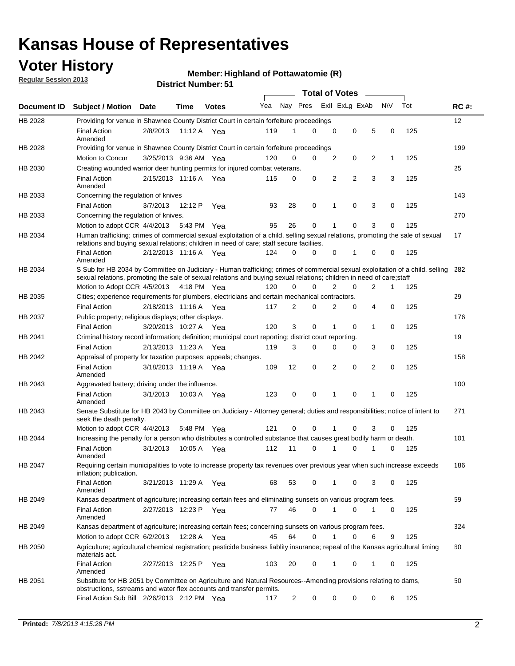## **Voter History**

**Regular Session 2013**

#### **Member: Highland of Pottawatomie (R)**

|             |                                                                                                                                                                                                                                                        |                       |         | <b>DISTING MUTHDEL.</b> 31 |     |                | <b>Total of Votes</b> |                |                | $\sim$         |           |     |             |
|-------------|--------------------------------------------------------------------------------------------------------------------------------------------------------------------------------------------------------------------------------------------------------|-----------------------|---------|----------------------------|-----|----------------|-----------------------|----------------|----------------|----------------|-----------|-----|-------------|
| Document ID | <b>Subject / Motion</b>                                                                                                                                                                                                                                | <b>Date</b>           | Time    | <b>Votes</b>               | Yea | Nay Pres       |                       |                | Exll ExLg ExAb |                | <b>NV</b> | Tot | <b>RC#:</b> |
| HB 2028     | Providing for venue in Shawnee County District Court in certain forfeiture proceedings                                                                                                                                                                 |                       |         |                            |     |                |                       |                |                |                |           |     | 12          |
|             | <b>Final Action</b>                                                                                                                                                                                                                                    | 2/8/2013              |         | 11:12 A Yea                | 119 |                | 0                     | $\mathbf 0$    | 0              | 5              | 0         | 125 |             |
| HB 2028     | Amended<br>Providing for venue in Shawnee County District Court in certain forfeiture proceedings                                                                                                                                                      |                       |         |                            |     |                |                       |                |                |                |           |     | 199         |
|             | Motion to Concur                                                                                                                                                                                                                                       | 3/25/2013 9:36 AM Yea |         |                            | 120 | 0              | 0                     | 2              | 0              | 2              | 1         | 125 |             |
| HB 2030     | Creating wounded warrior deer hunting permits for injured combat veterans.                                                                                                                                                                             |                       |         |                            |     |                |                       |                |                |                |           |     | 25          |
|             | <b>Final Action</b>                                                                                                                                                                                                                                    | 2/15/2013 11:16 A     |         | Yea                        | 115 | 0              | 0                     | 2              | 2              | 3              | 3         | 125 |             |
|             | Amended                                                                                                                                                                                                                                                |                       |         |                            |     |                |                       |                |                |                |           |     |             |
| HB 2033     | Concerning the regulation of knives                                                                                                                                                                                                                    |                       |         |                            |     |                |                       |                |                |                |           |     | 143         |
|             | <b>Final Action</b>                                                                                                                                                                                                                                    | 3/7/2013              | 12:12 P | Yea                        | 93  | 28             | 0                     | 1              | 0              | 3              | 0         | 125 |             |
| HB 2033     | Concerning the regulation of knives.                                                                                                                                                                                                                   |                       |         |                            |     |                |                       |                |                |                |           |     | 270         |
|             | Motion to adopt CCR 4/4/2013 5:43 PM Yea                                                                                                                                                                                                               |                       |         |                            | 95  | 26             | 0                     | 1              | 0              | 3              | 0         | 125 |             |
| HB 2034     | Human trafficking; crimes of commercial sexual exploitation of a child, selling sexual relations, promoting the sale of sexual<br>relations and buying sexual relations; children in need of care; staff secure faciliies.                             |                       |         |                            |     |                |                       |                |                |                |           |     | 17          |
|             | <b>Final Action</b><br>Amended                                                                                                                                                                                                                         | 2/12/2013 11:16 A Yea |         |                            | 124 | $\Omega$       | 0                     | 0              | 1              | 0              | 0         | 125 |             |
| HB 2034     | S Sub for HB 2034 by Committee on Judiciary - Human trafficking; crimes of commercial sexual exploitation of a child, selling<br>sexual relations, promoting the sale of sexual relations and buying sexual relations; children in need of care; staff |                       |         |                            |     |                |                       |                |                |                |           |     | 282         |
|             | Motion to Adopt CCR 4/5/2013 4:18 PM Yea                                                                                                                                                                                                               |                       |         |                            | 120 | 0              | 0                     | $\overline{2}$ | 0              | 2              | 1         | 125 |             |
| HB 2035     | Cities; experience requirements for plumbers, electricians and certain mechanical contractors.                                                                                                                                                         |                       |         |                            |     |                |                       |                |                |                |           |     | 29          |
|             | <b>Final Action</b>                                                                                                                                                                                                                                    | 2/18/2013 11:16 A     |         | Yea                        | 117 | 2              | 0                     | 2              | 0              | 4              | 0         | 125 |             |
| HB 2037     | Public property; religious displays; other displays.                                                                                                                                                                                                   |                       |         |                            |     |                |                       |                |                |                |           |     | 176         |
|             | <b>Final Action</b>                                                                                                                                                                                                                                    | 3/20/2013 10:27 A Yea |         |                            | 120 | 3              | 0                     | 1              | $\mathbf 0$    | 1              | 0         | 125 |             |
| HB 2041     | Criminal history record information; definition; municipal court reporting; district court reporting.                                                                                                                                                  |                       |         |                            |     |                |                       |                |                |                |           |     | 19          |
|             | <b>Final Action</b>                                                                                                                                                                                                                                    | 2/13/2013 11:23 A     |         | Yea                        | 119 | 3              | 0                     | 0              | 0              | 3              | 0         | 125 |             |
| HB 2042     | Appraisal of property for taxation purposes; appeals; changes.                                                                                                                                                                                         |                       |         |                            |     |                |                       |                |                |                |           |     | 158         |
|             | <b>Final Action</b><br>Amended                                                                                                                                                                                                                         | 3/18/2013 11:19 A Yea |         |                            | 109 | 12             | 0                     | 2              | $\mathbf 0$    | $\overline{2}$ | 0         | 125 |             |
| HB 2043     | Aggravated battery; driving under the influence.                                                                                                                                                                                                       |                       |         |                            |     |                |                       |                |                |                |           |     | 100         |
|             | <b>Final Action</b><br>Amended                                                                                                                                                                                                                         | 3/1/2013              |         | 10:03 A Yea                | 123 | 0              | 0                     | 1              | $\Omega$       | 1              | 0         | 125 |             |
| HB 2043     | Senate Substitute for HB 2043 by Committee on Judiciary - Attorney general; duties and responsibilities; notice of intent to<br>seek the death penalty.                                                                                                |                       |         |                            |     |                |                       |                |                |                |           |     | 271         |
|             | Motion to adopt CCR 4/4/2013                                                                                                                                                                                                                           |                       | 5:48 PM | Yea                        | 121 | $\Omega$       | 0                     |                | 0              | 3              | 0         | 125 |             |
| HB 2044     | Increasing the penalty for a person who distributes a controlled substance that causes great bodily harm or death.                                                                                                                                     |                       |         |                            |     |                |                       |                |                |                |           |     | 101         |
|             | <b>Final Action</b><br>Amended                                                                                                                                                                                                                         | 3/1/2013              | 10:05 A | Yea                        | 112 | 11             | 0                     | 1              | 0              | 1              | 0         | 125 |             |
| HB 2047     | Requiring certain municipalities to vote to increase property tax revenues over previous year when such increase exceeds<br>inflation; publication.                                                                                                    |                       |         |                            |     |                |                       |                |                |                |           |     | 186         |
|             | <b>Final Action</b><br>Amended                                                                                                                                                                                                                         | 3/21/2013 11:29 A Yea |         |                            | 68  | 53             | 0                     | 1              | 0              | 3              | 0         | 125 |             |
| HB 2049     | Kansas department of agriculture; increasing certain fees and eliminating sunsets on various program fees.                                                                                                                                             |                       |         |                            |     |                |                       |                |                |                |           |     | 59          |
|             | Final Action<br>Amended                                                                                                                                                                                                                                | 2/27/2013 12:23 P Yea |         |                            | 77  | 46             | 0                     | 1              | 0              |                | 0         | 125 |             |
| HB 2049     | Kansas department of agriculture; increasing certain fees; concerning sunsets on various program fees.                                                                                                                                                 |                       |         |                            |     |                |                       |                |                |                |           |     | 324         |
|             | Motion to adopt CCR 6/2/2013                                                                                                                                                                                                                           |                       | 12:28 A | Yea                        | 45  | 64             | 0                     | 1              | 0              | 6              | 9         | 125 |             |
| HB 2050     | Agriculture; agricultural chemical registration; pesticide business liablity insurance; repeal of the Kansas agricultural liming<br>materials act.                                                                                                     |                       |         |                            |     |                |                       |                |                |                |           |     | 60          |
|             | <b>Final Action</b><br>Amended                                                                                                                                                                                                                         | 2/27/2013 12:25 P     |         | Yea                        | 103 | 20             | 0                     | $\mathbf 1$    | 0              | 1              | 0         | 125 |             |
| HB 2051     | Substitute for HB 2051 by Committee on Agriculture and Natural Resources--Amending provisions relating to dams,<br>obstructions, sstreams and water flex accounts and transfer permits.                                                                |                       |         |                            |     |                |                       |                |                |                |           |     | 50          |
|             | Final Action Sub Bill 2/26/2013 2:12 PM Yea                                                                                                                                                                                                            |                       |         |                            | 117 | $\overline{2}$ | 0                     | 0              | 0              | 0              | 6         | 125 |             |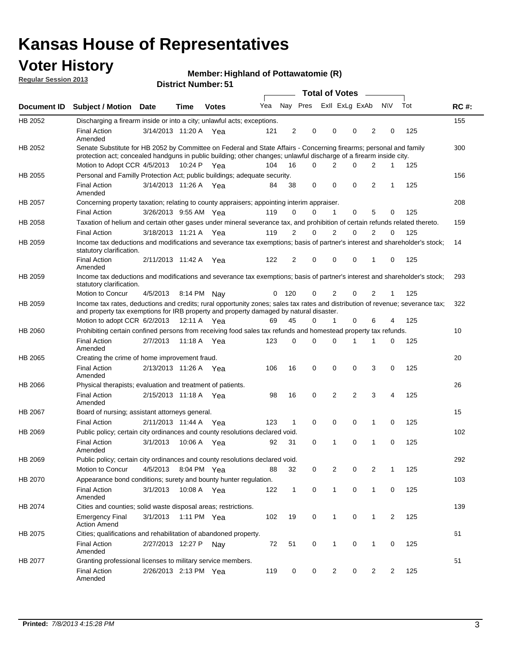## **Voter History**

**Member: Highland of Pottawatomie (R)** 

**Regular Session 2013**

|             |                                                                                                                                                                                                                                          |                       |             | ו ט . וסעווווטרו וטווע |     |                |          | <b>Total of Votes</b> | $\sim$         |                |           |     |             |
|-------------|------------------------------------------------------------------------------------------------------------------------------------------------------------------------------------------------------------------------------------------|-----------------------|-------------|------------------------|-----|----------------|----------|-----------------------|----------------|----------------|-----------|-----|-------------|
| Document ID | <b>Subject / Motion Date</b>                                                                                                                                                                                                             |                       | Time        | <b>Votes</b>           | Yea |                | Nay Pres |                       | Exll ExLg ExAb |                | <b>NV</b> | Tot | <b>RC#:</b> |
| HB 2052     | Discharging a firearm inside or into a city; unlawful acts; exceptions.                                                                                                                                                                  |                       |             |                        |     |                |          |                       |                |                |           |     | 155         |
|             | <b>Final Action</b><br>Amended                                                                                                                                                                                                           | 3/14/2013 11:20 A Yea |             |                        | 121 | $\overline{2}$ | 0        | 0                     | 0              | 2              | 0         | 125 |             |
| HB 2052     | Senate Substitute for HB 2052 by Committee on Federal and State Affairs - Concerning firearms; personal and family<br>protection act; concealed handguns in public building; other changes; unlawful discharge of a firearm inside city. |                       |             |                        |     |                |          |                       |                |                |           |     | 300         |
|             | Motion to Adopt CCR 4/5/2013                                                                                                                                                                                                             |                       | 10:24 P Yea |                        | 104 | 16             | 0        | 2                     | 0              | 2              | 1         | 125 |             |
| HB 2055     | Personal and Familly Protection Act; public buildings; adequate security.                                                                                                                                                                |                       |             |                        |     |                |          |                       |                |                |           |     | 156         |
|             | <b>Final Action</b><br>Amended                                                                                                                                                                                                           | 3/14/2013 11:26 A Yea |             |                        | 84  | 38             | 0        | 0                     | 0              | $\overline{2}$ | 1         | 125 |             |
| HB 2057     | Concerning property taxation; relating to county appraisers; appointing interim appraiser.                                                                                                                                               |                       |             |                        |     |                |          |                       |                |                |           |     | 208         |
|             | <b>Final Action</b>                                                                                                                                                                                                                      | 3/26/2013 9:55 AM Yea |             |                        | 119 | 0              | 0        | 1                     | 0              | 5              | 0         | 125 |             |
| HB 2058     | Taxation of helium and certain other gases under mineral severance tax, and prohibition of certain refunds related thereto.                                                                                                              |                       |             |                        |     |                |          |                       |                |                |           |     | 159         |
|             | <b>Final Action</b>                                                                                                                                                                                                                      | 3/18/2013 11:21 A Yea |             |                        | 119 | 2              | 0        | 2                     | 0              | 2              | $\Omega$  | 125 |             |
| HB 2059     | Income tax deductions and modifications and severance tax exemptions; basis of partner's interest and shareholder's stock;<br>statutory clarification.                                                                                   |                       |             |                        |     |                |          |                       |                |                |           |     | 14          |
|             | <b>Final Action</b><br>Amended                                                                                                                                                                                                           | 2/11/2013 11:42 A     |             | Yea                    | 122 | 2              | 0        | 0                     | 0              | 1              | 0         | 125 |             |
| HB 2059     | Income tax deductions and modifications and severance tax exemptions; basis of partner's interest and shareholder's stock;<br>statutory clarification.                                                                                   |                       |             |                        |     |                |          |                       |                |                |           |     | 293         |
|             | Motion to Concur                                                                                                                                                                                                                         | 4/5/2013              |             | 8:14 PM Nay            | 0   | - 120          | 0        | $\overline{2}$        | 0              | $\overline{2}$ | 1         | 125 |             |
| HB 2059     | Income tax rates, deductions and credits; rural opportunity zones; sales tax rates and distribution of revenue; severance tax;<br>and property tax exemptions for IRB property and property damaged by natural disaster.                 |                       |             |                        |     |                |          |                       |                |                |           |     | 322         |
|             | Motion to adopt CCR 6/2/2013                                                                                                                                                                                                             |                       |             | 12:11 A Yea            | 69  | 45             | 0        | $\mathbf{1}$          | 0              | 6              | 4         | 125 |             |
| HB 2060     | Prohibiting certain confined persons from receiving food sales tax refunds and homestead property tax refunds.                                                                                                                           |                       |             |                        |     |                |          |                       |                |                |           |     | 10          |
|             | <b>Final Action</b><br>Amended                                                                                                                                                                                                           | 2/7/2013              | 11:18 A     | Yea                    | 123 | $\mathbf 0$    | 0        | $\Omega$              | 1              | 1              | 0         | 125 |             |
| HB 2065     | Creating the crime of home improvement fraud.                                                                                                                                                                                            |                       |             |                        |     |                |          |                       |                |                |           |     | 20          |
|             | <b>Final Action</b><br>Amended                                                                                                                                                                                                           | 2/13/2013 11:26 A Yea |             |                        | 106 | 16             | 0        | 0                     | 0              | 3              | 0         | 125 |             |
| HB 2066     | Physical therapists; evaluation and treatment of patients.                                                                                                                                                                               |                       |             |                        |     |                |          |                       |                |                |           |     | 26          |
|             | <b>Final Action</b><br>Amended                                                                                                                                                                                                           | 2/15/2013 11:18 A Yea |             |                        | 98  | 16             | 0        | $\overline{2}$        | $\overline{2}$ | 3              | 4         | 125 |             |
| HB 2067     | Board of nursing; assistant attorneys general.                                                                                                                                                                                           |                       |             |                        |     |                |          |                       |                |                |           |     | 15          |
|             | <b>Final Action</b>                                                                                                                                                                                                                      | 2/11/2013 11:44 A Yea |             |                        | 123 | 1              | 0        | 0                     | 0              | 1              | 0         | 125 |             |
| HB 2069     | Public policy; certain city ordinances and county resolutions declared void.                                                                                                                                                             |                       |             |                        |     |                |          |                       |                |                |           |     | 102         |
|             | <b>Final Action</b><br>Amended                                                                                                                                                                                                           | 3/1/2013              | 10:06 A     | Yea                    | 92  | 31             | $\Omega$ | 1                     | 0              | 1              | 0         | 125 |             |
| HB 2069     | Public policy; certain city ordinances and county resolutions declared void.                                                                                                                                                             |                       |             |                        |     |                |          |                       |                |                |           |     | 292         |
|             | Motion to Concur                                                                                                                                                                                                                         | 4/5/2013              |             | 8:04 PM Yea            | 88  | 32             | 0        | 2                     | 0              | 2              | 1         | 125 |             |
| HB 2070     | Appearance bond conditions; surety and bounty hunter regulation.                                                                                                                                                                         |                       |             |                        |     |                |          |                       |                |                |           |     | 103         |
|             | <b>Final Action</b><br>Amended                                                                                                                                                                                                           | 3/1/2013              |             | 10:08 A Yea            | 122 | $\mathbf{1}$   | 0        | $\mathbf{1}$          | 0              | $\mathbf{1}$   | 0         | 125 |             |
| HB 2074     | Cities and counties; solid waste disposal areas; restrictions.                                                                                                                                                                           |                       |             |                        |     |                |          |                       |                |                |           |     | 139         |
|             | <b>Emergency Final</b><br><b>Action Amend</b>                                                                                                                                                                                            | 3/1/2013              |             | 1:11 PM Yea            | 102 | 19             | 0        | 1                     | 0              | $\mathbf{1}$   | 2         | 125 |             |
| HB 2075     | Cities; qualifications and rehabilitation of abandoned property.                                                                                                                                                                         |                       |             |                        |     |                |          |                       |                |                |           |     | 61          |
|             | <b>Final Action</b><br>Amended                                                                                                                                                                                                           | 2/27/2013 12:27 P     |             | Nav                    | 72  | 51             | 0        | 1                     | 0              | 1              | 0         | 125 |             |
| HB 2077     | Granting professional licenses to military service members.<br><b>Final Action</b><br>Amended                                                                                                                                            | 2/26/2013 2:13 PM Yea |             |                        | 119 | 0              | 0        | $\overline{2}$        | 0              | 2              | 2         | 125 | 51          |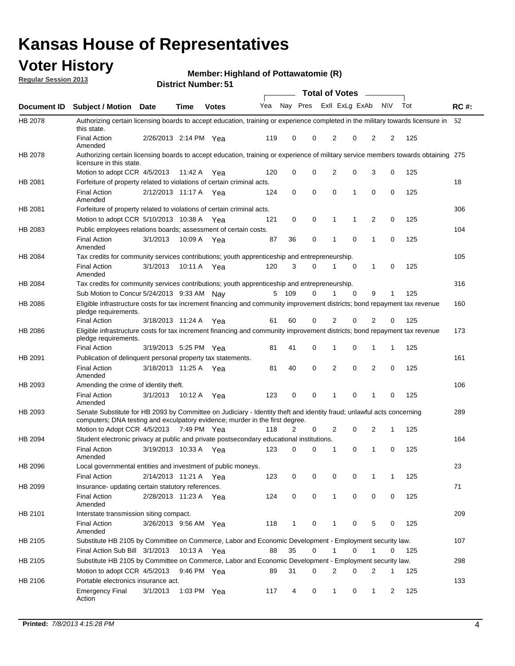## **Voter History**

**Member: Highland of Pottawatomie (R)** 

**Regular Session 2013**

|                    |                                                                                                                                                                                                       |                       |             | ו ט . וסעווואדו וטווע |              |              |   | <b>Total of Votes</b> |             | $\sim$         |             |     |             |
|--------------------|-------------------------------------------------------------------------------------------------------------------------------------------------------------------------------------------------------|-----------------------|-------------|-----------------------|--------------|--------------|---|-----------------------|-------------|----------------|-------------|-----|-------------|
| <b>Document ID</b> | <b>Subject / Motion Date</b>                                                                                                                                                                          |                       | <b>Time</b> | <b>Votes</b>          | Yea Nay Pres |              |   | Exll ExLg ExAb        |             |                | <b>NV</b>   | Tot | <b>RC#:</b> |
| HB 2078            | Authorizing certain licensing boards to accept education, training or experience completed in the military towards licensure in<br>this state.                                                        |                       |             |                       |              |              |   |                       |             |                |             |     | 52          |
|                    | <b>Final Action</b><br>Amended                                                                                                                                                                        | 2/26/2013 2:14 PM Yea |             |                       | 119          | 0            | 0 | 2                     | 0           | 2              | 2           | 125 |             |
| HB 2078            | Authorizing certain licensing boards to accept education, training or experience of military service members towards obtaining 275<br>licensure in this state.                                        |                       |             |                       |              |              |   |                       |             |                |             |     |             |
|                    | Motion to adopt CCR 4/5/2013                                                                                                                                                                          |                       | 11:42 A     | Yea                   | 120          | 0            | 0 | $\overline{2}$        | 0           | 3              | 0           | 125 |             |
| HB 2081            | Forfeiture of property related to violations of certain criminal acts.                                                                                                                                |                       |             |                       |              |              |   |                       |             |                |             |     | 18          |
|                    | <b>Final Action</b><br>Amended                                                                                                                                                                        | 2/12/2013 11:17 A Yea |             |                       | 124          | 0            | 0 | $\Omega$              | 1           | 0              | 0           | 125 |             |
| HB 2081            | Forfeiture of property related to violations of certain criminal acts.                                                                                                                                |                       |             |                       |              |              |   |                       |             |                |             |     | 306         |
|                    | Motion to adopt CCR 5/10/2013 10:38 A                                                                                                                                                                 |                       |             | Yea                   | 121          | 0            | 0 | 1                     | 1           | 2              | 0           | 125 |             |
| HB 2083            | Public employees relations boards; assessment of certain costs.                                                                                                                                       |                       |             |                       |              |              |   |                       |             |                |             |     | 104         |
|                    | <b>Final Action</b><br>Amended                                                                                                                                                                        | 3/1/2013              | 10:09 A     | Yea                   | 87           | 36           | 0 | 1                     | $\mathbf 0$ | 1              | $\mathbf 0$ | 125 |             |
| HB 2084            | Tax credits for community services contributions; youth apprenticeship and entrepreneurship.                                                                                                          |                       |             |                       |              |              |   |                       |             |                |             |     | 105         |
|                    | <b>Final Action</b><br>Amended                                                                                                                                                                        | 3/1/2013              | 10:11 A     | Yea                   | 120          | 3            | 0 | 1                     | $\mathbf 0$ | 1              | 0           | 125 |             |
| HB 2084            | Tax credits for community services contributions; youth apprenticeship and entrepreneurship.                                                                                                          |                       |             |                       |              |              |   |                       |             |                |             |     | 316         |
|                    | Sub Motion to Concur 5/24/2013 9:33 AM Nav                                                                                                                                                            |                       |             |                       | 5            | - 109        | 0 |                       | 0           | 9              | 1           | 125 |             |
| HB 2086            | Eligible infrastructure costs for tax increment financing and community improvement districts; bond repayment tax revenue<br>pledge requirements.                                                     |                       |             |                       |              |              |   |                       |             |                |             |     | 160         |
|                    | <b>Final Action</b>                                                                                                                                                                                   | 3/18/2013 11:24 A     |             | Yea                   | 61           | 60           | 0 | 2                     | 0           | $\overline{2}$ | 0           | 125 |             |
| HB 2086            | Eligible infrastructure costs for tax increment financing and community improvement districts; bond repayment tax revenue<br>pledge requirements.                                                     |                       |             |                       |              |              |   |                       |             |                |             |     | 173         |
|                    | <b>Final Action</b>                                                                                                                                                                                   | 3/19/2013 5:25 PM Yea |             |                       | 81           | 41           | 0 | 1                     | 0           | 1              | 1           | 125 |             |
| HB 2091            | Publication of delinguent personal property tax statements.                                                                                                                                           |                       |             |                       |              |              |   |                       |             |                |             |     | 161         |
|                    | <b>Final Action</b><br>Amended                                                                                                                                                                        | 3/18/2013 11:25 A     |             | Yea                   | 81           | 40           | 0 | 2                     | 0           | $\overline{2}$ | 0           | 125 |             |
| HB 2093            | Amending the crime of identity theft.                                                                                                                                                                 |                       |             |                       |              |              |   |                       |             |                |             |     | 106         |
|                    | <b>Final Action</b><br>Amended                                                                                                                                                                        | 3/1/2013              | 10:12 A     | Yea                   | 123          | 0            | 0 | 1                     | $\Omega$    | 1              | 0           | 125 |             |
| HB 2093            | Senate Substitute for HB 2093 by Committee on Judiciary - Identity theft and identity fraud; unlawful acts concerning<br>computers; DNA testing and exculpatory evidence; murder in the first degree. |                       |             |                       |              |              |   |                       |             |                |             |     | 289         |
|                    | Motion to Adopt CCR 4/5/2013 7:49 PM Yea                                                                                                                                                              |                       |             |                       | 118          | 2            | 0 | 2                     | 0           | 2              | 1           | 125 |             |
| HB 2094            | Student electronic privacy at public and private postsecondary educational institutions.                                                                                                              |                       |             |                       |              |              |   |                       |             |                |             |     | 164         |
|                    | <b>Final Action</b><br>Amended                                                                                                                                                                        | 3/19/2013 10:33 A     |             | Yea                   | 123          | 0            | 0 | 1                     | 0           | 1              | 0           | 125 |             |
| HB 2096            | Local governmental entities and investment of public moneys.                                                                                                                                          |                       |             |                       |              |              |   |                       |             |                |             |     | 23          |
|                    | <b>Final Action</b>                                                                                                                                                                                   | 2/14/2013 11:21 A     |             | Yea                   | 123          | 0            | 0 | 0                     | 0           | 1              | 1           | 125 |             |
| HB 2099            | Insurance- updating certain statutory references.                                                                                                                                                     |                       |             |                       |              |              |   |                       |             |                |             |     | 71          |
|                    | <b>Final Action</b><br>Amended                                                                                                                                                                        | 2/28/2013 11:23 A     |             | Yea                   | 124          | 0            | 0 | 1                     | 0           | 0              | 0           | 125 |             |
| HB 2101            | Interstate transmission siting compact.                                                                                                                                                               |                       |             |                       |              |              |   |                       |             |                |             |     | 209         |
|                    | <b>Final Action</b><br>Amended                                                                                                                                                                        | 3/26/2013 9:56 AM Yea |             |                       | 118          | $\mathbf{1}$ | 0 | 1                     | 0           | 5              | 0           | 125 |             |
| HB 2105            | Substitute HB 2105 by Committee on Commerce, Labor and Economic Development - Employment security law.                                                                                                |                       |             |                       |              |              |   |                       |             |                |             |     | 107         |
|                    | Final Action Sub Bill 3/1/2013                                                                                                                                                                        |                       | 10:13 A Yea |                       | 88           | 35           | 0 |                       | 0           | 1              | 0           | 125 |             |
| HB 2105            | Substitute HB 2105 by Committee on Commerce, Labor and Economic Development - Employment security law.                                                                                                |                       |             |                       |              |              |   |                       |             |                |             |     | 298         |
|                    | Motion to adopt CCR 4/5/2013                                                                                                                                                                          |                       | 9:46 PM Yea |                       | 89           | 31           | 0 | 2                     | 0           | 2              | 1           | 125 |             |
| HB 2106            | Portable electronics insurance act.                                                                                                                                                                   |                       |             |                       |              |              |   |                       |             |                |             |     | 133         |
|                    | <b>Emergency Final</b><br>Action                                                                                                                                                                      | 3/1/2013              | 1:03 PM Yea |                       | 117          | 4            | 0 | $\mathbf{1}$          | 0           | 1              | 2           | 125 |             |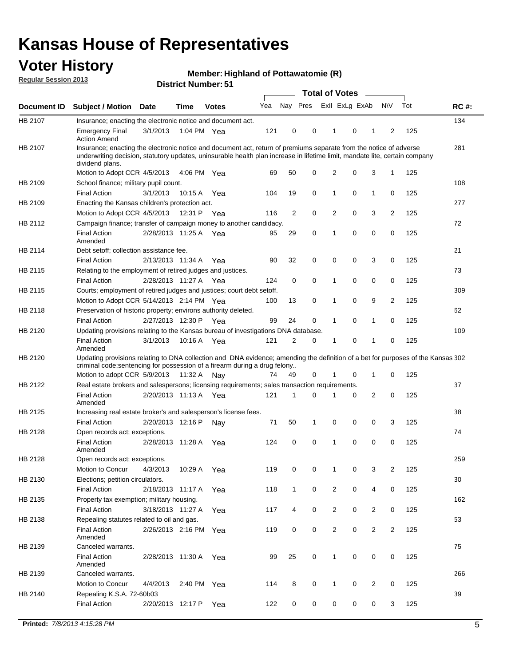## **Voter History**

**Member: Highland of Pottawatomie (R)** 

**Regular Session 2013**

|             |                                                                                                                                                                                                                                                                      |                       |             | ו ט השמות וזעו וטוש |     |                | <b>Total of Votes</b> |                |   | $\sim$         |                |     |             |
|-------------|----------------------------------------------------------------------------------------------------------------------------------------------------------------------------------------------------------------------------------------------------------------------|-----------------------|-------------|---------------------|-----|----------------|-----------------------|----------------|---|----------------|----------------|-----|-------------|
| Document ID | <b>Subject / Motion Date</b>                                                                                                                                                                                                                                         |                       | <b>Time</b> | <b>Votes</b>        | Yea | Nay Pres       |                       | Exll ExLg ExAb |   |                | <b>NV</b>      | Tot | <b>RC#:</b> |
| HB 2107     | Insurance; enacting the electronic notice and document act.                                                                                                                                                                                                          |                       |             |                     |     |                |                       |                |   |                |                |     | 134         |
|             | <b>Emergency Final</b><br><b>Action Amend</b>                                                                                                                                                                                                                        | 3/1/2013              | 1:04 PM Yea |                     | 121 | 0              | 0                     | 1              | 0 | 1              | 2              | 125 |             |
| HB 2107     | Insurance; enacting the electronic notice and document act, return of premiums separate from the notice of adverse<br>underwriting decision, statutory updates, uninsurable health plan increase in lifetime limit, mandate lite, certain company<br>dividend plans. |                       |             |                     |     |                |                       |                |   |                |                |     | 281         |
|             | Motion to Adopt CCR 4/5/2013                                                                                                                                                                                                                                         |                       | 4:06 PM Yea |                     | 69  | 50             | 0                     | 2              | 0 | 3              | $\mathbf{1}$   | 125 |             |
| HB 2109     | School finance; military pupil count.                                                                                                                                                                                                                                |                       |             |                     |     |                |                       |                |   |                |                |     | 108         |
|             | <b>Final Action</b>                                                                                                                                                                                                                                                  | 3/1/2013              | 10:15A      | Yea                 | 104 | 19             | 0                     | 1              | 0 | $\mathbf{1}$   | 0              | 125 |             |
| HB 2109     | Enacting the Kansas children's protection act.                                                                                                                                                                                                                       |                       |             |                     |     |                |                       |                |   |                |                |     | 277         |
|             | Motion to Adopt CCR 4/5/2013                                                                                                                                                                                                                                         |                       | 12:31 P     | Yea                 | 116 | $\overline{2}$ | 0                     | 2              | 0 | 3              | $\overline{2}$ | 125 |             |
| HB 2112     | Campaign finance; transfer of campaign money to another candidacy.                                                                                                                                                                                                   |                       |             |                     |     |                |                       |                |   |                |                |     | 72          |
|             | <b>Final Action</b><br>Amended                                                                                                                                                                                                                                       | 2/28/2013 11:25 A Yea |             |                     | 95  | 29             | 0                     | 1              | 0 | 0              | 0              | 125 |             |
| HB 2114     | Debt setoff; collection assistance fee.                                                                                                                                                                                                                              |                       |             |                     |     |                |                       |                |   |                |                |     | 21          |
|             | <b>Final Action</b>                                                                                                                                                                                                                                                  | 2/13/2013 11:34 A     |             | Yea                 | 90  | 32             | 0                     | 0              | 0 | 3              | 0              | 125 |             |
| HB 2115     | Relating to the employment of retired judges and justices.                                                                                                                                                                                                           |                       |             |                     |     |                |                       |                |   |                |                |     | 73          |
|             | <b>Final Action</b>                                                                                                                                                                                                                                                  | 2/28/2013 11:27 A     |             | Yea                 | 124 | 0              | $\mathbf 0$           | 1              | 0 | 0              | 0              | 125 |             |
| HB 2115     | Courts; employment of retired judges and justices; court debt setoff.                                                                                                                                                                                                |                       |             |                     |     |                |                       |                |   |                |                |     | 309         |
|             | Motion to Adopt CCR 5/14/2013 2:14 PM Yea                                                                                                                                                                                                                            |                       |             |                     | 100 | 13             | 0                     | 1              | 0 | 9              | $\overline{2}$ | 125 |             |
| HB 2118     | Preservation of historic property; environs authority deleted.                                                                                                                                                                                                       |                       |             |                     |     |                |                       |                |   |                |                |     | 62          |
|             | <b>Final Action</b>                                                                                                                                                                                                                                                  | 2/27/2013 12:30 P     |             | Yea                 | 99  | 24             | 0                     | 1              | 0 | $\mathbf{1}$   | 0              | 125 |             |
| HB 2120     | Updating provisions relating to the Kansas bureau of investigations DNA database.                                                                                                                                                                                    |                       |             |                     |     |                |                       |                |   |                |                |     | 109         |
|             | <b>Final Action</b><br>Amended                                                                                                                                                                                                                                       | 3/1/2013              | 10:16 A     | Yea                 | 121 | 2              | 0                     | 1              | 0 | 1              | 0              | 125 |             |
| HB 2120     | Updating provisions relating to DNA collection and DNA evidence; amending the definition of a bet for purposes of the Kansas 302<br>criminal code; sentencing for possession of a firearm during a drug felony                                                       |                       |             |                     |     |                |                       |                |   |                |                |     |             |
|             | Motion to adopt CCR 5/9/2013 11:32 A Nay                                                                                                                                                                                                                             |                       |             |                     | 74  | 49             | 0                     |                | 0 | 1              | 0              | 125 |             |
| HB 2122     | Real estate brokers and salespersons; licensing requirements; sales transaction requirements.                                                                                                                                                                        |                       |             |                     |     |                |                       |                |   |                |                |     | 37          |
|             | <b>Final Action</b><br>Amended                                                                                                                                                                                                                                       | 2/20/2013 11:13 A Yea |             |                     | 121 | 1              | 0                     |                | 0 | 2              | 0              | 125 |             |
| HB 2125     | Increasing real estate broker's and salesperson's license fees.                                                                                                                                                                                                      |                       |             |                     |     |                |                       |                |   |                |                |     | 38          |
|             | <b>Final Action</b>                                                                                                                                                                                                                                                  | 2/20/2013 12:16 P     |             | Nav                 | 71  | 50             | 1                     | 0              | 0 | 0              | 3              | 125 |             |
| HB 2128     | Open records act; exceptions.                                                                                                                                                                                                                                        |                       |             |                     |     |                |                       |                |   |                |                |     | 74          |
|             | <b>Final Action</b><br>Amended                                                                                                                                                                                                                                       | 2/28/2013 11:28 A     |             | Yea                 | 124 | 0              | 0                     | 1              | 0 | 0              | 0              | 125 |             |
| HB 2128     | Open records act; exceptions.                                                                                                                                                                                                                                        |                       |             |                     |     |                |                       |                |   |                |                |     | 259         |
|             | Motion to Concur                                                                                                                                                                                                                                                     | 4/3/2013              | 10:29 A     | Yea                 | 119 | 0              | 0                     | 1              | 0 | 3              | $\overline{2}$ | 125 |             |
| HB 2130     | Elections; petition circulators.                                                                                                                                                                                                                                     |                       |             |                     |     |                |                       |                |   |                |                |     | 30          |
|             | <b>Final Action</b>                                                                                                                                                                                                                                                  | 2/18/2013 11:17 A     |             | Yea                 | 118 | $\mathbf{1}$   | 0                     | $\overline{c}$ | 0 | 4              | 0              | 125 |             |
| HB 2135     | Property tax exemption; military housing.                                                                                                                                                                                                                            |                       |             |                     |     |                |                       |                |   |                |                |     | 162         |
|             | <b>Final Action</b>                                                                                                                                                                                                                                                  | 3/18/2013 11:27 A     |             | Yea                 | 117 | 4              | 0                     | $\overline{c}$ | 0 | $\overline{2}$ | 0              | 125 |             |
| HB 2138     | Repealing statutes related to oil and gas.                                                                                                                                                                                                                           |                       |             |                     |     |                |                       |                |   |                |                |     | 53          |
|             | <b>Final Action</b><br>Amended                                                                                                                                                                                                                                       | 2/26/2013 2:16 PM Yea |             |                     | 119 | 0              | 0                     | 2              | 0 | $\overline{2}$ | $\overline{2}$ | 125 |             |
| HB 2139     | Canceled warrants.                                                                                                                                                                                                                                                   |                       |             |                     |     |                |                       |                |   |                |                |     | 75          |
|             | <b>Final Action</b><br>Amended                                                                                                                                                                                                                                       | 2/28/2013 11:30 A     |             | Yea                 | 99  | 25             | 0                     | 1              | 0 | 0              | 0              | 125 |             |
| HB 2139     | Canceled warrants.                                                                                                                                                                                                                                                   |                       |             |                     |     |                |                       |                |   |                |                |     | 266         |
|             | Motion to Concur                                                                                                                                                                                                                                                     | 4/4/2013              | 2:40 PM     | Yea                 | 114 | 8              | 0                     | 1              | 0 | 2              | 0              | 125 |             |
| HB 2140     | Repealing K.S.A. 72-60b03                                                                                                                                                                                                                                            |                       |             |                     |     |                |                       |                |   |                |                |     | 39          |
|             | <b>Final Action</b>                                                                                                                                                                                                                                                  | 2/20/2013 12:17 P     |             | Yea                 | 122 | 0              | 0                     | 0              | 0 | 0              | 3              | 125 |             |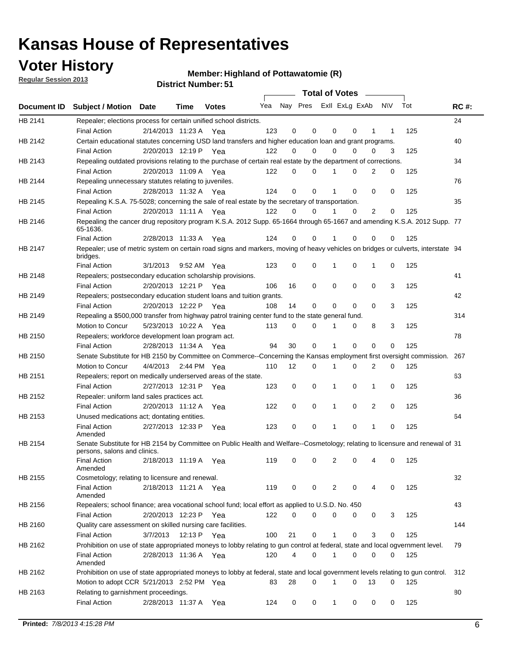## **Voter History**

**Regular Session 2013**

### **Member: Highland of Pottawatomie (R)**

|  | <b>District Number: 51</b> |  |
|--|----------------------------|--|
|--|----------------------------|--|

|             |                                                                                                                                                                                                                                                                                                                                                                                                                                                                                                                                                                                                                                                                                                                                                                                                                                                                                                                                                                                                                                                                                                                                                                                                                                                                                                                                                                                                                                                                                                                                                                                                                                                                                                                                                                                                                                                                                                                                                                                                                                                                                                                                                                                                                                                                                                                                                                                                                                                                                                                                                                                                                                                                                                                                                                                                                                                                                                                                                                                                                                                                                                                                                                |                       |              |     |    | <b>Total of Votes</b>   |              |   | $\overline{\phantom{0}}$ |     |     |             |
|-------------|----------------------------------------------------------------------------------------------------------------------------------------------------------------------------------------------------------------------------------------------------------------------------------------------------------------------------------------------------------------------------------------------------------------------------------------------------------------------------------------------------------------------------------------------------------------------------------------------------------------------------------------------------------------------------------------------------------------------------------------------------------------------------------------------------------------------------------------------------------------------------------------------------------------------------------------------------------------------------------------------------------------------------------------------------------------------------------------------------------------------------------------------------------------------------------------------------------------------------------------------------------------------------------------------------------------------------------------------------------------------------------------------------------------------------------------------------------------------------------------------------------------------------------------------------------------------------------------------------------------------------------------------------------------------------------------------------------------------------------------------------------------------------------------------------------------------------------------------------------------------------------------------------------------------------------------------------------------------------------------------------------------------------------------------------------------------------------------------------------------------------------------------------------------------------------------------------------------------------------------------------------------------------------------------------------------------------------------------------------------------------------------------------------------------------------------------------------------------------------------------------------------------------------------------------------------------------------------------------------------------------------------------------------------------------------------------------------------------------------------------------------------------------------------------------------------------------------------------------------------------------------------------------------------------------------------------------------------------------------------------------------------------------------------------------------------------------------------------------------------------------------------------------------------|-----------------------|--------------|-----|----|-------------------------|--------------|---|--------------------------|-----|-----|-------------|
| Document ID | <b>Subject / Motion Date</b>                                                                                                                                                                                                                                                                                                                                                                                                                                                                                                                                                                                                                                                                                                                                                                                                                                                                                                                                                                                                                                                                                                                                                                                                                                                                                                                                                                                                                                                                                                                                                                                                                                                                                                                                                                                                                                                                                                                                                                                                                                                                                                                                                                                                                                                                                                                                                                                                                                                                                                                                                                                                                                                                                                                                                                                                                                                                                                                                                                                                                                                                                                                                   | Time                  | <b>Votes</b> | Yea |    | Nay Pres Exll ExLg ExAb |              |   |                          | N\V | Tot | <b>RC#:</b> |
| HB 2141     | Repealer; elections process for certain unified school districts.                                                                                                                                                                                                                                                                                                                                                                                                                                                                                                                                                                                                                                                                                                                                                                                                                                                                                                                                                                                                                                                                                                                                                                                                                                                                                                                                                                                                                                                                                                                                                                                                                                                                                                                                                                                                                                                                                                                                                                                                                                                                                                                                                                                                                                                                                                                                                                                                                                                                                                                                                                                                                                                                                                                                                                                                                                                                                                                                                                                                                                                                                              |                       |              |     |    |                         |              |   |                          |     |     | 24          |
|             | <b>Final Action</b>                                                                                                                                                                                                                                                                                                                                                                                                                                                                                                                                                                                                                                                                                                                                                                                                                                                                                                                                                                                                                                                                                                                                                                                                                                                                                                                                                                                                                                                                                                                                                                                                                                                                                                                                                                                                                                                                                                                                                                                                                                                                                                                                                                                                                                                                                                                                                                                                                                                                                                                                                                                                                                                                                                                                                                                                                                                                                                                                                                                                                                                                                                                                            | 2/14/2013 11:23 A     | Yea          | 123 | 0  | 0                       | 0            | 0 | 1                        | 1   | 125 |             |
| HB 2142     | Certain educational statutes concerning USD land transfers and higher education loan and grant programs.                                                                                                                                                                                                                                                                                                                                                                                                                                                                                                                                                                                                                                                                                                                                                                                                                                                                                                                                                                                                                                                                                                                                                                                                                                                                                                                                                                                                                                                                                                                                                                                                                                                                                                                                                                                                                                                                                                                                                                                                                                                                                                                                                                                                                                                                                                                                                                                                                                                                                                                                                                                                                                                                                                                                                                                                                                                                                                                                                                                                                                                       |                       |              |     |    |                         |              |   |                          |     |     | 40          |
|             | <b>Final Action</b>                                                                                                                                                                                                                                                                                                                                                                                                                                                                                                                                                                                                                                                                                                                                                                                                                                                                                                                                                                                                                                                                                                                                                                                                                                                                                                                                                                                                                                                                                                                                                                                                                                                                                                                                                                                                                                                                                                                                                                                                                                                                                                                                                                                                                                                                                                                                                                                                                                                                                                                                                                                                                                                                                                                                                                                                                                                                                                                                                                                                                                                                                                                                            | 2/20/2013 12:19 P     | Yea          | 122 | 0  | 0                       | 0            | 0 | 0                        | 3   | 125 |             |
| HB 2143     | Repealing outdated provisions relating to the purchase of certain real estate by the department of corrections.<br>34<br>2/20/2013 11:09 A<br>122<br>0<br>0<br>2<br>0<br>125<br><b>Final Action</b><br>Yea<br>0<br>76<br>Repealing unnecessary statutes relating to juveniles.<br>0<br>125<br>2/28/2013 11:32 A Yea<br>124<br>0<br>0<br>0<br>0<br><b>Final Action</b><br>Repealing K.S.A. 75-5028; concerning the sale of real estate by the secretary of transportation.<br>35<br>2<br><b>Final Action</b><br>2/20/2013 11:11 A Yea<br>122<br>0<br>0<br>0<br>0<br>125<br>Repealing the cancer drug repository program K.S.A. 2012 Supp. 65-1664 through 65-1667 and amending K.S.A. 2012 Supp. 77<br>65-1636.<br>124<br>125<br><b>Final Action</b><br>2/28/2013 11:33 A<br>0<br>0<br>0<br>0<br>Yea<br>0<br>Repealer; use of metric system on certain road signs and markers, moving of heavy vehicles on bridges or culverts, interstate 94<br>bridges.<br>0<br>0<br>0<br>0<br>125<br><b>Final Action</b><br>3/1/2013<br>9:52 AM Yea<br>123<br>1<br>1<br>41<br>Repealers; postsecondary education scholarship provisions.<br>2/20/2013 12:21 P Yea<br>16<br>0<br>0<br>0<br>0<br>3<br>125<br><b>Final Action</b><br>106<br>42<br>Repealers; postsecondary education student loans and tuition grants.<br>2/20/2013 12:22 P<br>14<br>0<br>0<br>$\Omega$<br>3<br>125<br><b>Final Action</b><br>Yea<br>108<br>0<br>314<br>Repealing a \$500,000 transfer from highway patrol training center fund to the state general fund.<br>3<br>Motion to Concur<br>5/23/2013 10:22 A Yea<br>113<br>0<br>0<br>0<br>8<br>125<br>78<br>Repealers; workforce development loan program act.<br>30<br>0<br>0<br>0<br>0<br>125<br><b>Final Action</b><br>2/28/2013 11:34 A Yea<br>94<br>1<br>Senate Substitute for HB 2150 by Committee on Commerce--Concerning the Kansas employment first oversight commission.<br>267<br>12<br>2<br>0<br>125<br>Motion to Concur<br>4/4/2013<br>2:44 PM Yea<br>110<br>0<br>0<br>1<br>Repealers; report on medically underserved areas of the state.<br>63<br>2/27/2013 12:31 P<br>0<br>0<br>0<br><b>Final Action</b><br>123<br>0<br>1<br>1<br>125<br>Yea<br>Repealer: uniform land sales practices act.<br>36<br>2/20/2013 11:12 A<br>0<br>0<br>0<br>2<br>0<br>125<br><b>Final Action</b><br>122<br>1<br>Yea<br>64<br>Unused medications act; dontating entities.<br>2/27/2013 12:33 P<br>123<br>0<br>0<br>0<br>125<br><b>Final Action</b><br>1<br>0<br>Yea<br>1<br>Amended<br>Senate Substitute for HB 2154 by Committee on Public Health and Welfare--Cosmetology; relating to licensure and renewal of 31<br>persons, salons and clinics.<br>119<br>2<br>125<br><b>Final Action</b><br>2/18/2013 11:19 A<br>0<br>0<br>0<br>0<br>4<br>Yea<br>Amended<br>32<br>Cosmetology; relating to licensure and renewal.<br><b>Final Action</b><br>119<br>125<br>2/18/2013 11:21 A Yea<br>0<br>0<br>2<br>0<br>0<br>4<br>Amended<br>Repealers; school finance; area vocational school fund; local effort as applied to U.S.D. No. 450<br>43<br>HB 2156<br>2/20/2013 12:23 P Yea<br>122<br>0<br>$\Omega$<br>0<br>0<br>125<br><b>Final Action</b><br>0<br>3 |                       |              |     |    |                         |              |   |                          |     |     |             |
|             |                                                                                                                                                                                                                                                                                                                                                                                                                                                                                                                                                                                                                                                                                                                                                                                                                                                                                                                                                                                                                                                                                                                                                                                                                                                                                                                                                                                                                                                                                                                                                                                                                                                                                                                                                                                                                                                                                                                                                                                                                                                                                                                                                                                                                                                                                                                                                                                                                                                                                                                                                                                                                                                                                                                                                                                                                                                                                                                                                                                                                                                                                                                                                                |                       |              |     |    |                         |              |   |                          |     |     |             |
| HB 2144     | Quality care assessment on skilled nursing care facilities.<br>144<br>3/7/2013<br>12:13 P Yea<br>21<br>0<br>0<br>3<br>125<br><b>Final Action</b><br>100<br>$\mathbf 1$<br>0<br>Prohibition on use of state appropriated moneys to lobby relating to gun control at federal, state and local ogvernment level.<br>79                                                                                                                                                                                                                                                                                                                                                                                                                                                                                                                                                                                                                                                                                                                                                                                                                                                                                                                                                                                                                                                                                                                                                                                                                                                                                                                                                                                                                                                                                                                                                                                                                                                                                                                                                                                                                                                                                                                                                                                                                                                                                                                                                                                                                                                                                                                                                                                                                                                                                                                                                                                                                                                                                                                                                                                                                                            |                       |              |     |    |                         |              |   |                          |     |     |             |
|             |                                                                                                                                                                                                                                                                                                                                                                                                                                                                                                                                                                                                                                                                                                                                                                                                                                                                                                                                                                                                                                                                                                                                                                                                                                                                                                                                                                                                                                                                                                                                                                                                                                                                                                                                                                                                                                                                                                                                                                                                                                                                                                                                                                                                                                                                                                                                                                                                                                                                                                                                                                                                                                                                                                                                                                                                                                                                                                                                                                                                                                                                                                                                                                |                       |              |     |    |                         |              |   |                          |     |     |             |
| HB 2145     |                                                                                                                                                                                                                                                                                                                                                                                                                                                                                                                                                                                                                                                                                                                                                                                                                                                                                                                                                                                                                                                                                                                                                                                                                                                                                                                                                                                                                                                                                                                                                                                                                                                                                                                                                                                                                                                                                                                                                                                                                                                                                                                                                                                                                                                                                                                                                                                                                                                                                                                                                                                                                                                                                                                                                                                                                                                                                                                                                                                                                                                                                                                                                                |                       |              |     |    |                         |              |   |                          |     |     |             |
|             |                                                                                                                                                                                                                                                                                                                                                                                                                                                                                                                                                                                                                                                                                                                                                                                                                                                                                                                                                                                                                                                                                                                                                                                                                                                                                                                                                                                                                                                                                                                                                                                                                                                                                                                                                                                                                                                                                                                                                                                                                                                                                                                                                                                                                                                                                                                                                                                                                                                                                                                                                                                                                                                                                                                                                                                                                                                                                                                                                                                                                                                                                                                                                                |                       |              |     |    |                         |              |   |                          |     |     |             |
| HB 2146     |                                                                                                                                                                                                                                                                                                                                                                                                                                                                                                                                                                                                                                                                                                                                                                                                                                                                                                                                                                                                                                                                                                                                                                                                                                                                                                                                                                                                                                                                                                                                                                                                                                                                                                                                                                                                                                                                                                                                                                                                                                                                                                                                                                                                                                                                                                                                                                                                                                                                                                                                                                                                                                                                                                                                                                                                                                                                                                                                                                                                                                                                                                                                                                |                       |              |     |    |                         |              |   |                          |     |     |             |
|             |                                                                                                                                                                                                                                                                                                                                                                                                                                                                                                                                                                                                                                                                                                                                                                                                                                                                                                                                                                                                                                                                                                                                                                                                                                                                                                                                                                                                                                                                                                                                                                                                                                                                                                                                                                                                                                                                                                                                                                                                                                                                                                                                                                                                                                                                                                                                                                                                                                                                                                                                                                                                                                                                                                                                                                                                                                                                                                                                                                                                                                                                                                                                                                |                       |              |     |    |                         |              |   |                          |     |     |             |
| HB 2147     |                                                                                                                                                                                                                                                                                                                                                                                                                                                                                                                                                                                                                                                                                                                                                                                                                                                                                                                                                                                                                                                                                                                                                                                                                                                                                                                                                                                                                                                                                                                                                                                                                                                                                                                                                                                                                                                                                                                                                                                                                                                                                                                                                                                                                                                                                                                                                                                                                                                                                                                                                                                                                                                                                                                                                                                                                                                                                                                                                                                                                                                                                                                                                                |                       |              |     |    |                         |              |   |                          |     |     |             |
|             |                                                                                                                                                                                                                                                                                                                                                                                                                                                                                                                                                                                                                                                                                                                                                                                                                                                                                                                                                                                                                                                                                                                                                                                                                                                                                                                                                                                                                                                                                                                                                                                                                                                                                                                                                                                                                                                                                                                                                                                                                                                                                                                                                                                                                                                                                                                                                                                                                                                                                                                                                                                                                                                                                                                                                                                                                                                                                                                                                                                                                                                                                                                                                                |                       |              |     |    |                         |              |   |                          |     |     |             |
| HB 2148     |                                                                                                                                                                                                                                                                                                                                                                                                                                                                                                                                                                                                                                                                                                                                                                                                                                                                                                                                                                                                                                                                                                                                                                                                                                                                                                                                                                                                                                                                                                                                                                                                                                                                                                                                                                                                                                                                                                                                                                                                                                                                                                                                                                                                                                                                                                                                                                                                                                                                                                                                                                                                                                                                                                                                                                                                                                                                                                                                                                                                                                                                                                                                                                |                       |              |     |    |                         |              |   |                          |     |     |             |
|             |                                                                                                                                                                                                                                                                                                                                                                                                                                                                                                                                                                                                                                                                                                                                                                                                                                                                                                                                                                                                                                                                                                                                                                                                                                                                                                                                                                                                                                                                                                                                                                                                                                                                                                                                                                                                                                                                                                                                                                                                                                                                                                                                                                                                                                                                                                                                                                                                                                                                                                                                                                                                                                                                                                                                                                                                                                                                                                                                                                                                                                                                                                                                                                |                       |              |     |    |                         |              |   |                          |     |     |             |
| HB 2149     |                                                                                                                                                                                                                                                                                                                                                                                                                                                                                                                                                                                                                                                                                                                                                                                                                                                                                                                                                                                                                                                                                                                                                                                                                                                                                                                                                                                                                                                                                                                                                                                                                                                                                                                                                                                                                                                                                                                                                                                                                                                                                                                                                                                                                                                                                                                                                                                                                                                                                                                                                                                                                                                                                                                                                                                                                                                                                                                                                                                                                                                                                                                                                                |                       |              |     |    |                         |              |   |                          |     |     |             |
|             |                                                                                                                                                                                                                                                                                                                                                                                                                                                                                                                                                                                                                                                                                                                                                                                                                                                                                                                                                                                                                                                                                                                                                                                                                                                                                                                                                                                                                                                                                                                                                                                                                                                                                                                                                                                                                                                                                                                                                                                                                                                                                                                                                                                                                                                                                                                                                                                                                                                                                                                                                                                                                                                                                                                                                                                                                                                                                                                                                                                                                                                                                                                                                                |                       |              |     |    |                         |              |   |                          |     |     |             |
| HB 2149     |                                                                                                                                                                                                                                                                                                                                                                                                                                                                                                                                                                                                                                                                                                                                                                                                                                                                                                                                                                                                                                                                                                                                                                                                                                                                                                                                                                                                                                                                                                                                                                                                                                                                                                                                                                                                                                                                                                                                                                                                                                                                                                                                                                                                                                                                                                                                                                                                                                                                                                                                                                                                                                                                                                                                                                                                                                                                                                                                                                                                                                                                                                                                                                |                       |              |     |    |                         |              |   |                          |     |     |             |
|             |                                                                                                                                                                                                                                                                                                                                                                                                                                                                                                                                                                                                                                                                                                                                                                                                                                                                                                                                                                                                                                                                                                                                                                                                                                                                                                                                                                                                                                                                                                                                                                                                                                                                                                                                                                                                                                                                                                                                                                                                                                                                                                                                                                                                                                                                                                                                                                                                                                                                                                                                                                                                                                                                                                                                                                                                                                                                                                                                                                                                                                                                                                                                                                |                       |              |     |    |                         |              |   |                          |     |     |             |
| HB 2150     |                                                                                                                                                                                                                                                                                                                                                                                                                                                                                                                                                                                                                                                                                                                                                                                                                                                                                                                                                                                                                                                                                                                                                                                                                                                                                                                                                                                                                                                                                                                                                                                                                                                                                                                                                                                                                                                                                                                                                                                                                                                                                                                                                                                                                                                                                                                                                                                                                                                                                                                                                                                                                                                                                                                                                                                                                                                                                                                                                                                                                                                                                                                                                                |                       |              |     |    |                         |              |   |                          |     |     |             |
|             |                                                                                                                                                                                                                                                                                                                                                                                                                                                                                                                                                                                                                                                                                                                                                                                                                                                                                                                                                                                                                                                                                                                                                                                                                                                                                                                                                                                                                                                                                                                                                                                                                                                                                                                                                                                                                                                                                                                                                                                                                                                                                                                                                                                                                                                                                                                                                                                                                                                                                                                                                                                                                                                                                                                                                                                                                                                                                                                                                                                                                                                                                                                                                                |                       |              |     |    |                         |              |   |                          |     |     |             |
| HB 2150     |                                                                                                                                                                                                                                                                                                                                                                                                                                                                                                                                                                                                                                                                                                                                                                                                                                                                                                                                                                                                                                                                                                                                                                                                                                                                                                                                                                                                                                                                                                                                                                                                                                                                                                                                                                                                                                                                                                                                                                                                                                                                                                                                                                                                                                                                                                                                                                                                                                                                                                                                                                                                                                                                                                                                                                                                                                                                                                                                                                                                                                                                                                                                                                |                       |              |     |    |                         |              |   |                          |     |     |             |
|             |                                                                                                                                                                                                                                                                                                                                                                                                                                                                                                                                                                                                                                                                                                                                                                                                                                                                                                                                                                                                                                                                                                                                                                                                                                                                                                                                                                                                                                                                                                                                                                                                                                                                                                                                                                                                                                                                                                                                                                                                                                                                                                                                                                                                                                                                                                                                                                                                                                                                                                                                                                                                                                                                                                                                                                                                                                                                                                                                                                                                                                                                                                                                                                |                       |              |     |    |                         |              |   |                          |     |     |             |
| HB 2151     |                                                                                                                                                                                                                                                                                                                                                                                                                                                                                                                                                                                                                                                                                                                                                                                                                                                                                                                                                                                                                                                                                                                                                                                                                                                                                                                                                                                                                                                                                                                                                                                                                                                                                                                                                                                                                                                                                                                                                                                                                                                                                                                                                                                                                                                                                                                                                                                                                                                                                                                                                                                                                                                                                                                                                                                                                                                                                                                                                                                                                                                                                                                                                                |                       |              |     |    |                         |              |   |                          |     |     |             |
|             |                                                                                                                                                                                                                                                                                                                                                                                                                                                                                                                                                                                                                                                                                                                                                                                                                                                                                                                                                                                                                                                                                                                                                                                                                                                                                                                                                                                                                                                                                                                                                                                                                                                                                                                                                                                                                                                                                                                                                                                                                                                                                                                                                                                                                                                                                                                                                                                                                                                                                                                                                                                                                                                                                                                                                                                                                                                                                                                                                                                                                                                                                                                                                                |                       |              |     |    |                         |              |   |                          |     |     |             |
| HB 2152     |                                                                                                                                                                                                                                                                                                                                                                                                                                                                                                                                                                                                                                                                                                                                                                                                                                                                                                                                                                                                                                                                                                                                                                                                                                                                                                                                                                                                                                                                                                                                                                                                                                                                                                                                                                                                                                                                                                                                                                                                                                                                                                                                                                                                                                                                                                                                                                                                                                                                                                                                                                                                                                                                                                                                                                                                                                                                                                                                                                                                                                                                                                                                                                |                       |              |     |    |                         |              |   |                          |     |     |             |
|             |                                                                                                                                                                                                                                                                                                                                                                                                                                                                                                                                                                                                                                                                                                                                                                                                                                                                                                                                                                                                                                                                                                                                                                                                                                                                                                                                                                                                                                                                                                                                                                                                                                                                                                                                                                                                                                                                                                                                                                                                                                                                                                                                                                                                                                                                                                                                                                                                                                                                                                                                                                                                                                                                                                                                                                                                                                                                                                                                                                                                                                                                                                                                                                |                       |              |     |    |                         |              |   |                          |     |     |             |
| HB 2153     |                                                                                                                                                                                                                                                                                                                                                                                                                                                                                                                                                                                                                                                                                                                                                                                                                                                                                                                                                                                                                                                                                                                                                                                                                                                                                                                                                                                                                                                                                                                                                                                                                                                                                                                                                                                                                                                                                                                                                                                                                                                                                                                                                                                                                                                                                                                                                                                                                                                                                                                                                                                                                                                                                                                                                                                                                                                                                                                                                                                                                                                                                                                                                                |                       |              |     |    |                         |              |   |                          |     |     |             |
|             |                                                                                                                                                                                                                                                                                                                                                                                                                                                                                                                                                                                                                                                                                                                                                                                                                                                                                                                                                                                                                                                                                                                                                                                                                                                                                                                                                                                                                                                                                                                                                                                                                                                                                                                                                                                                                                                                                                                                                                                                                                                                                                                                                                                                                                                                                                                                                                                                                                                                                                                                                                                                                                                                                                                                                                                                                                                                                                                                                                                                                                                                                                                                                                |                       |              |     |    |                         |              |   |                          |     |     |             |
| HB 2154     |                                                                                                                                                                                                                                                                                                                                                                                                                                                                                                                                                                                                                                                                                                                                                                                                                                                                                                                                                                                                                                                                                                                                                                                                                                                                                                                                                                                                                                                                                                                                                                                                                                                                                                                                                                                                                                                                                                                                                                                                                                                                                                                                                                                                                                                                                                                                                                                                                                                                                                                                                                                                                                                                                                                                                                                                                                                                                                                                                                                                                                                                                                                                                                |                       |              |     |    |                         |              |   |                          |     |     |             |
|             |                                                                                                                                                                                                                                                                                                                                                                                                                                                                                                                                                                                                                                                                                                                                                                                                                                                                                                                                                                                                                                                                                                                                                                                                                                                                                                                                                                                                                                                                                                                                                                                                                                                                                                                                                                                                                                                                                                                                                                                                                                                                                                                                                                                                                                                                                                                                                                                                                                                                                                                                                                                                                                                                                                                                                                                                                                                                                                                                                                                                                                                                                                                                                                |                       |              |     |    |                         |              |   |                          |     |     |             |
|             |                                                                                                                                                                                                                                                                                                                                                                                                                                                                                                                                                                                                                                                                                                                                                                                                                                                                                                                                                                                                                                                                                                                                                                                                                                                                                                                                                                                                                                                                                                                                                                                                                                                                                                                                                                                                                                                                                                                                                                                                                                                                                                                                                                                                                                                                                                                                                                                                                                                                                                                                                                                                                                                                                                                                                                                                                                                                                                                                                                                                                                                                                                                                                                |                       |              |     |    |                         |              |   |                          |     |     |             |
| HB 2155     |                                                                                                                                                                                                                                                                                                                                                                                                                                                                                                                                                                                                                                                                                                                                                                                                                                                                                                                                                                                                                                                                                                                                                                                                                                                                                                                                                                                                                                                                                                                                                                                                                                                                                                                                                                                                                                                                                                                                                                                                                                                                                                                                                                                                                                                                                                                                                                                                                                                                                                                                                                                                                                                                                                                                                                                                                                                                                                                                                                                                                                                                                                                                                                |                       |              |     |    |                         |              |   |                          |     |     |             |
|             |                                                                                                                                                                                                                                                                                                                                                                                                                                                                                                                                                                                                                                                                                                                                                                                                                                                                                                                                                                                                                                                                                                                                                                                                                                                                                                                                                                                                                                                                                                                                                                                                                                                                                                                                                                                                                                                                                                                                                                                                                                                                                                                                                                                                                                                                                                                                                                                                                                                                                                                                                                                                                                                                                                                                                                                                                                                                                                                                                                                                                                                                                                                                                                |                       |              |     |    |                         |              |   |                          |     |     |             |
|             |                                                                                                                                                                                                                                                                                                                                                                                                                                                                                                                                                                                                                                                                                                                                                                                                                                                                                                                                                                                                                                                                                                                                                                                                                                                                                                                                                                                                                                                                                                                                                                                                                                                                                                                                                                                                                                                                                                                                                                                                                                                                                                                                                                                                                                                                                                                                                                                                                                                                                                                                                                                                                                                                                                                                                                                                                                                                                                                                                                                                                                                                                                                                                                |                       |              |     |    |                         |              |   |                          |     |     |             |
|             |                                                                                                                                                                                                                                                                                                                                                                                                                                                                                                                                                                                                                                                                                                                                                                                                                                                                                                                                                                                                                                                                                                                                                                                                                                                                                                                                                                                                                                                                                                                                                                                                                                                                                                                                                                                                                                                                                                                                                                                                                                                                                                                                                                                                                                                                                                                                                                                                                                                                                                                                                                                                                                                                                                                                                                                                                                                                                                                                                                                                                                                                                                                                                                |                       |              |     |    |                         |              |   |                          |     |     |             |
|             |                                                                                                                                                                                                                                                                                                                                                                                                                                                                                                                                                                                                                                                                                                                                                                                                                                                                                                                                                                                                                                                                                                                                                                                                                                                                                                                                                                                                                                                                                                                                                                                                                                                                                                                                                                                                                                                                                                                                                                                                                                                                                                                                                                                                                                                                                                                                                                                                                                                                                                                                                                                                                                                                                                                                                                                                                                                                                                                                                                                                                                                                                                                                                                |                       |              |     |    |                         |              |   |                          |     |     |             |
| HB 2160     |                                                                                                                                                                                                                                                                                                                                                                                                                                                                                                                                                                                                                                                                                                                                                                                                                                                                                                                                                                                                                                                                                                                                                                                                                                                                                                                                                                                                                                                                                                                                                                                                                                                                                                                                                                                                                                                                                                                                                                                                                                                                                                                                                                                                                                                                                                                                                                                                                                                                                                                                                                                                                                                                                                                                                                                                                                                                                                                                                                                                                                                                                                                                                                |                       |              |     |    |                         |              |   |                          |     |     |             |
|             |                                                                                                                                                                                                                                                                                                                                                                                                                                                                                                                                                                                                                                                                                                                                                                                                                                                                                                                                                                                                                                                                                                                                                                                                                                                                                                                                                                                                                                                                                                                                                                                                                                                                                                                                                                                                                                                                                                                                                                                                                                                                                                                                                                                                                                                                                                                                                                                                                                                                                                                                                                                                                                                                                                                                                                                                                                                                                                                                                                                                                                                                                                                                                                |                       |              |     |    |                         |              |   |                          |     |     |             |
| HB 2162     |                                                                                                                                                                                                                                                                                                                                                                                                                                                                                                                                                                                                                                                                                                                                                                                                                                                                                                                                                                                                                                                                                                                                                                                                                                                                                                                                                                                                                                                                                                                                                                                                                                                                                                                                                                                                                                                                                                                                                                                                                                                                                                                                                                                                                                                                                                                                                                                                                                                                                                                                                                                                                                                                                                                                                                                                                                                                                                                                                                                                                                                                                                                                                                |                       |              |     |    |                         |              |   |                          |     |     |             |
|             | <b>Final Action</b><br>Amended                                                                                                                                                                                                                                                                                                                                                                                                                                                                                                                                                                                                                                                                                                                                                                                                                                                                                                                                                                                                                                                                                                                                                                                                                                                                                                                                                                                                                                                                                                                                                                                                                                                                                                                                                                                                                                                                                                                                                                                                                                                                                                                                                                                                                                                                                                                                                                                                                                                                                                                                                                                                                                                                                                                                                                                                                                                                                                                                                                                                                                                                                                                                 | 2/28/2013 11:36 A Yea |              | 120 | 4  | 0                       | 1            | 0 | 0                        | 0   | 125 |             |
| HB 2162     | Prohibition on use of state appropriated moneys to lobby at federal, state and local government levels relating to gun control.                                                                                                                                                                                                                                                                                                                                                                                                                                                                                                                                                                                                                                                                                                                                                                                                                                                                                                                                                                                                                                                                                                                                                                                                                                                                                                                                                                                                                                                                                                                                                                                                                                                                                                                                                                                                                                                                                                                                                                                                                                                                                                                                                                                                                                                                                                                                                                                                                                                                                                                                                                                                                                                                                                                                                                                                                                                                                                                                                                                                                                |                       |              |     |    |                         |              |   |                          |     |     | 312         |
|             | Motion to adopt CCR 5/21/2013 2:52 PM Yea                                                                                                                                                                                                                                                                                                                                                                                                                                                                                                                                                                                                                                                                                                                                                                                                                                                                                                                                                                                                                                                                                                                                                                                                                                                                                                                                                                                                                                                                                                                                                                                                                                                                                                                                                                                                                                                                                                                                                                                                                                                                                                                                                                                                                                                                                                                                                                                                                                                                                                                                                                                                                                                                                                                                                                                                                                                                                                                                                                                                                                                                                                                      |                       |              | 83  | 28 | 0                       | 1            | 0 | 13                       | 0   | 125 |             |
| HB 2163     | Relating to garnishment proceedings.                                                                                                                                                                                                                                                                                                                                                                                                                                                                                                                                                                                                                                                                                                                                                                                                                                                                                                                                                                                                                                                                                                                                                                                                                                                                                                                                                                                                                                                                                                                                                                                                                                                                                                                                                                                                                                                                                                                                                                                                                                                                                                                                                                                                                                                                                                                                                                                                                                                                                                                                                                                                                                                                                                                                                                                                                                                                                                                                                                                                                                                                                                                           |                       |              |     |    |                         |              |   |                          |     |     | 80          |
|             | <b>Final Action</b>                                                                                                                                                                                                                                                                                                                                                                                                                                                                                                                                                                                                                                                                                                                                                                                                                                                                                                                                                                                                                                                                                                                                                                                                                                                                                                                                                                                                                                                                                                                                                                                                                                                                                                                                                                                                                                                                                                                                                                                                                                                                                                                                                                                                                                                                                                                                                                                                                                                                                                                                                                                                                                                                                                                                                                                                                                                                                                                                                                                                                                                                                                                                            | 2/28/2013 11:37 A Yea |              | 124 | 0  | 0                       | $\mathbf{1}$ | 0 | 0                        | 0   | 125 |             |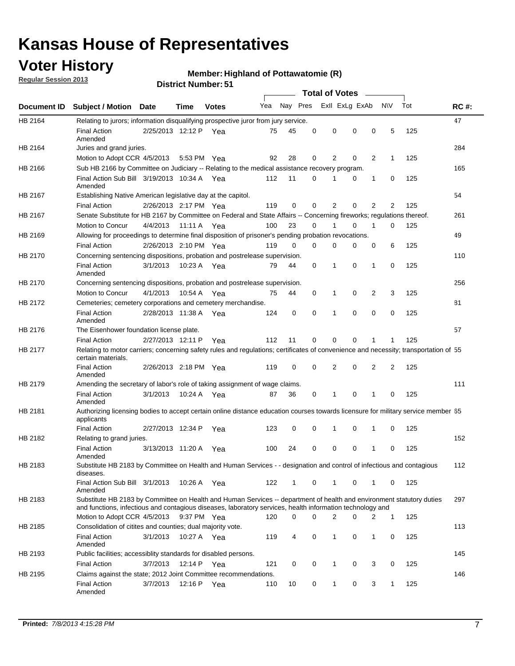# **Voter History**<br> **Megular Session 2013**

**Member: Highland of Pottawatomie (R)** 

**Regular Session 2013**

|             |                                                                                                                                                                                                                                    |                       |             | <b>District Number: 51</b> |     |    |          |                       |                |                |              |     |             |
|-------------|------------------------------------------------------------------------------------------------------------------------------------------------------------------------------------------------------------------------------------|-----------------------|-------------|----------------------------|-----|----|----------|-----------------------|----------------|----------------|--------------|-----|-------------|
|             |                                                                                                                                                                                                                                    |                       |             |                            |     |    |          | <b>Total of Votes</b> | $\sim$         |                |              |     |             |
| Document ID | Subject / Motion Date                                                                                                                                                                                                              |                       | <b>Time</b> | <b>Votes</b>               | Yea |    | Nay Pres |                       | Exll ExLg ExAb |                | <b>NV</b>    | Tot | <b>RC#:</b> |
| HB 2164     | Relating to jurors; information disqualifying prospective juror from jury service.                                                                                                                                                 |                       |             |                            |     |    |          |                       |                |                |              |     | 47          |
|             | <b>Final Action</b><br>Amended                                                                                                                                                                                                     | 2/25/2013 12:12 P     |             | Yea                        | 75  | 45 | 0        | 0                     | 0              | 0              | 5            | 125 |             |
| HB 2164     | Juries and grand juries.                                                                                                                                                                                                           |                       |             |                            |     |    |          |                       |                |                |              |     | 284         |
|             | Motion to Adopt CCR 4/5/2013                                                                                                                                                                                                       |                       |             | 5:53 PM Yea                | 92  | 28 | 0        | 2                     | 0              | $\overline{2}$ | $\mathbf 1$  | 125 |             |
| HB 2166     | Sub HB 2166 by Committee on Judiciary -- Relating to the medical assistance recovery program.                                                                                                                                      |                       |             |                            |     |    |          |                       |                |                |              |     | 165         |
|             | Final Action Sub Bill 3/19/2013 10:34 A Yea<br>Amended                                                                                                                                                                             |                       |             |                            | 112 | 11 | 0        |                       | 0              | 1              | 0            | 125 |             |
| HB 2167     | Establishing Native American legislative day at the capitol.                                                                                                                                                                       |                       |             |                            |     |    |          |                       |                |                |              |     | 54          |
|             | <b>Final Action</b>                                                                                                                                                                                                                | 2/26/2013 2:17 PM Yea |             |                            | 119 | 0  | 0        | 2                     | 0              | $\overline{2}$ | 2            | 125 |             |
| HB 2167     | Senate Substitute for HB 2167 by Committee on Federal and State Affairs -- Concerning fireworks; regulations thereof.                                                                                                              |                       |             |                            |     |    |          |                       |                |                |              |     | 261         |
|             | Motion to Concur                                                                                                                                                                                                                   | 4/4/2013              | 11:11 A     | Yea                        | 100 | 23 | 0        |                       | 0              | 1              | 0            | 125 |             |
| HB 2169     | Allowing for proceedings to determine final disposition of prisoner's pending probation revocations.                                                                                                                               |                       |             |                            |     |    |          |                       |                |                |              |     | 49          |
|             | <b>Final Action</b>                                                                                                                                                                                                                | 2/26/2013 2:10 PM Yea |             |                            | 119 | 0  | 0        | $\Omega$              | 0              | 0              | 6            | 125 |             |
| HB 2170     | Concerning sentencing dispositions, probation and postrelease supervision.                                                                                                                                                         |                       |             |                            |     |    |          |                       |                |                |              |     | 110         |
|             | <b>Final Action</b><br>Amended                                                                                                                                                                                                     | 3/1/2013              | 10:23 A     | Yea                        | 79  | 44 | 0        | 1                     | 0              | 1              | 0            | 125 |             |
| HB 2170     | Concerning sentencing dispositions, probation and postrelease supervision.                                                                                                                                                         |                       |             |                            |     |    |          |                       |                |                |              |     | 256         |
|             | Motion to Concur                                                                                                                                                                                                                   | 4/1/2013              | 10:54 A     | Yea                        | 75  | 44 | 0        | 1                     | 0              | 2              | 3            | 125 |             |
| HB 2172     | Cemeteries; cemetery corporations and cemetery merchandise.                                                                                                                                                                        |                       |             |                            |     |    |          |                       |                |                |              |     | 81          |
|             | <b>Final Action</b><br>Amended                                                                                                                                                                                                     | 2/28/2013 11:38 A     |             | Yea                        | 124 | 0  | 0        | 1                     | 0              | 0              | 0            | 125 |             |
| HB 2176     | The Eisenhower foundation license plate.                                                                                                                                                                                           |                       |             |                            |     |    |          |                       |                |                |              |     | 57          |
|             | <b>Final Action</b>                                                                                                                                                                                                                | 2/27/2013 12:11 P     |             | Yea                        | 112 | 11 | 0        | 0                     | 0              |                |              | 125 |             |
| HB 2177     | Relating to motor carriers; concerning safety rules and regulations; certificates of convenience and necessity; transportation of 55<br>certain materials.                                                                         |                       |             |                            |     |    |          |                       |                |                |              |     |             |
|             | <b>Final Action</b><br>Amended                                                                                                                                                                                                     | 2/26/2013 2:18 PM     |             | Yea                        | 119 | 0  | 0        | $\overline{2}$        | 0              | 2              | 2            | 125 |             |
| HB 2179     | Amending the secretary of labor's role of taking assignment of wage claims.                                                                                                                                                        |                       |             |                            |     |    |          |                       |                |                |              |     | 111         |
|             | <b>Final Action</b><br>Amended                                                                                                                                                                                                     | 3/1/2013              | 10:24 A     | Yea                        | 87  | 36 | 0        | $\mathbf 1$           | 0              | 1              | 0            | 125 |             |
| HB 2181     | Authorizing licensing bodies to accept certain online distance education courses towards licensure for military service member 55<br>applicants                                                                                    |                       |             |                            |     |    |          |                       |                |                |              |     |             |
|             | <b>Final Action</b>                                                                                                                                                                                                                | 2/27/2013 12:34 P     |             | Yea                        | 123 | 0  | 0        | 1                     | 0              | 1              | 0            | 125 |             |
| HB 2182     | Relating to grand juries.                                                                                                                                                                                                          |                       |             |                            |     |    |          |                       |                |                |              |     | 152         |
|             | <b>Final Action</b><br>Amended                                                                                                                                                                                                     | 3/13/2013 11:20 A     |             | Yea                        | 100 | 24 | 0        | 0                     | $\Omega$       | $\mathbf 1$    | 0            | 125 |             |
| HB 2183     | Substitute HB 2183 by Committee on Health and Human Services - - designation and control of infectious and contagious<br>diseases.                                                                                                 |                       |             |                            |     |    |          |                       |                |                |              |     | 112         |
|             | Final Action Sub Bill 3/1/2013<br>Amended                                                                                                                                                                                          |                       | 10:26 A     | Yea                        | 122 | 1  | 0        | 1                     | 0              | 1              | 0            | 125 |             |
| HB 2183     | Substitute HB 2183 by Committee on Health and Human Services -- department of health and environment statutory duties<br>and functions, infectious and contagious diseases, laboratory services, health information technology and |                       |             |                            |     |    |          |                       |                |                |              |     | 297         |
|             | Motion to Adopt CCR 4/5/2013                                                                                                                                                                                                       |                       |             | 9:37 PM Yea                | 120 | 0  | 0        | 2                     | 0              | 2              | $\mathbf{1}$ | 125 |             |
| HB 2185     | Consolidation of citites and counties; dual majority vote.                                                                                                                                                                         |                       |             |                            |     |    |          |                       |                |                |              |     | 113         |
|             | <b>Final Action</b><br>Amended                                                                                                                                                                                                     | 3/1/2013              | 10:27 A Yea |                            | 119 | 4  | 0        | $\mathbf{1}$          | 0              | $\mathbf{1}$   | 0            | 125 |             |
| HB 2193     | Public facilities; accessiblity standards for disabled persons.                                                                                                                                                                    |                       |             |                            |     |    |          |                       |                |                |              |     | 145         |
|             | <b>Final Action</b>                                                                                                                                                                                                                | 3/7/2013              |             | 12:14 P Yea                | 121 | 0  | 0        | $\mathbf{1}$          | 0              | 3              | 0            | 125 |             |

Final Action 3/7/2013 12:16 P Yea 110 10 0 1 0 3 1 125

Claims against the state; 2012 Joint Committee recommendations.

Amended

HB 2195

146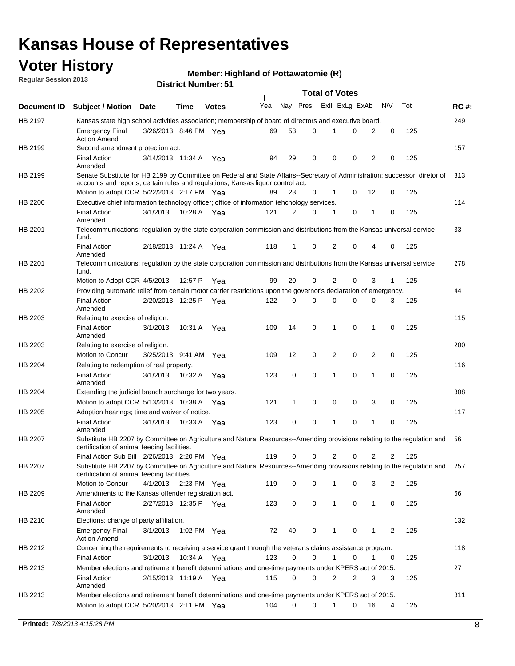## **Voter History**

**Member: Highland of Pottawatomie (R)** 

**Regular Session 2013**

|             |                                                                                                                                                                         |                       |             |              |     |          |   |              | <b>Total of Votes</b> |                |             |     |             |
|-------------|-------------------------------------------------------------------------------------------------------------------------------------------------------------------------|-----------------------|-------------|--------------|-----|----------|---|--------------|-----------------------|----------------|-------------|-----|-------------|
| Document ID | <b>Subject / Motion Date</b>                                                                                                                                            |                       | Time        | <b>Votes</b> | Yea | Nay Pres |   |              | Exll ExLg ExAb        |                | <b>NV</b>   | Tot | <b>RC#:</b> |
| HB 2197     | Kansas state high school activities association; membership of board of directors and executive board.                                                                  |                       |             |              |     |          |   |              |                       |                |             |     | 249         |
|             | <b>Emergency Final</b><br><b>Action Amend</b>                                                                                                                           | 3/26/2013 8:46 PM Yea |             |              | 69  | 53       | 0 | 1            | 0                     | 2              | 0           | 125 |             |
| HB 2199     | Second amendment protection act.                                                                                                                                        |                       |             |              |     |          |   |              |                       |                |             |     | 157         |
|             | <b>Final Action</b><br>Amended                                                                                                                                          | 3/14/2013 11:34 A     |             | Yea          | 94  | 29       | 0 | 0            | 0                     | 2              | 0           | 125 |             |
| HB 2199     | Senate Substitute for HB 2199 by Committee on Federal and State Affairs--Secretary of Administration; successor; diretor of                                             |                       |             |              |     |          |   |              |                       |                |             |     | 313         |
|             | accounts and reports; certain rules and regulations; Kansas liquor control act.                                                                                         |                       |             |              |     |          |   |              |                       |                |             |     |             |
|             | Motion to adopt CCR 5/22/2013 2:17 PM Yea                                                                                                                               |                       |             |              | 89  | 23       | 0 | 1            | 0                     | 12             | 0           | 125 |             |
| HB 2200     | Executive chief information technology officer; office of information tehcnology services.                                                                              |                       |             |              |     |          |   |              |                       |                |             |     | 114         |
|             | <b>Final Action</b><br>Amended                                                                                                                                          | 3/1/2013              | 10:28 A     | Yea          | 121 | 2        | 0 | 1            | 0                     | 1              | 0           | 125 |             |
| HB 2201     | Telecommunications; regulation by the state corporation commission and distributions from the Kansas universal service<br>fund.                                         |                       |             |              |     |          |   |              |                       |                |             |     | 33          |
|             | <b>Final Action</b><br>Amended                                                                                                                                          | 2/18/2013 11:24 A     |             | Yea          | 118 | 1        | 0 | 2            | 0                     | 4              | 0           | 125 |             |
| HB 2201     | Telecommunications; regulation by the state corporation commission and distributions from the Kansas universal service<br>fund.                                         |                       |             |              |     |          |   |              |                       |                |             |     | 278         |
|             | Motion to Adopt CCR 4/5/2013                                                                                                                                            |                       | 12:57 P     | Yea          | 99  | 20       | 0 | 2            | 0                     | 3              | 1           | 125 |             |
| HB 2202     | Providing automatic relief from certain motor carrier restrictions upon the governor's declaration of emergency.                                                        |                       |             |              |     |          |   |              |                       |                |             |     | 44          |
|             | <b>Final Action</b><br>Amended                                                                                                                                          | 2/20/2013 12:25 P     |             | Yea          | 122 | 0        | 0 | 0            | 0                     | 0              | 3           | 125 |             |
| HB 2203     | Relating to exercise of religion.                                                                                                                                       |                       |             |              |     |          |   |              |                       |                |             |     | 115         |
|             | <b>Final Action</b><br>Amended                                                                                                                                          | 3/1/2013              | 10:31 A     | Yea          | 109 | 14       | 0 | 1            | 0                     | 1              | 0           | 125 |             |
| HB 2203     | Relating to exercise of religion.                                                                                                                                       |                       |             |              |     |          |   |              |                       |                |             |     | 200         |
|             | Motion to Concur                                                                                                                                                        | 3/25/2013 9:41 AM Yea |             |              | 109 | 12       | 0 | 2            | 0                     | $\overline{2}$ | 0           | 125 |             |
| HB 2204     | Relating to redemption of real property.                                                                                                                                |                       |             |              |     |          |   |              |                       |                |             |     | 116         |
|             | <b>Final Action</b>                                                                                                                                                     | 3/1/2013              |             | 10:32 A Yea  | 123 | 0        | 0 | 1            | $\mathbf 0$           | 1              | $\mathbf 0$ | 125 |             |
| HB 2204     | Amended<br>Extending the judicial branch surcharge for two years.                                                                                                       |                       |             |              |     |          |   |              |                       |                |             |     | 308         |
|             | Motion to adopt CCR 5/13/2013 10:38 A Yea                                                                                                                               |                       |             |              | 121 | 1        | 0 | 0            | 0                     | 3              | 0           | 125 |             |
| HB 2205     | Adoption hearings; time and waiver of notice.                                                                                                                           |                       |             |              |     |          |   |              |                       |                |             |     | 117         |
|             | <b>Final Action</b><br>Amended                                                                                                                                          | 3/1/2013              | 10:33 A     | Yea          | 123 | 0        | 0 | 1            | 0                     | 1              | 0           | 125 |             |
| HB 2207     | Substitute HB 2207 by Committee on Agriculture and Natural Resources--Amending provisions relating to the regulation and<br>certification of animal feeding facilities. |                       |             |              |     |          |   |              |                       |                |             |     | 56          |
|             | Final Action Sub Bill 2/26/2013 2:20 PM Yea                                                                                                                             |                       |             |              | 119 | 0        | 0 | 2            | 0                     | 2              | 2           | 125 |             |
| HB 2207     | Substitute HB 2207 by Committee on Agriculture and Natural Resources--Amending provisions relating to the regulation and<br>certification of animal feeding facilities. |                       |             |              |     |          |   |              |                       |                |             |     | 257         |
|             | Motion to Concur                                                                                                                                                        | 4/1/2013              | 2:23 PM Yea |              | 119 | 0        | 0 | 1            | 0                     | 3              | 2           | 125 |             |
| HB 2209     | Amendments to the Kansas offender registration act.                                                                                                                     |                       |             |              |     |          |   |              |                       |                |             |     | 66          |
|             | <b>Final Action</b><br>Amended                                                                                                                                          | 2/27/2013 12:35 P Yea |             |              | 123 | 0        | 0 | $\mathbf{1}$ | $\mathbf 0$           | $\mathbf{1}$   | 0           | 125 |             |
| HB 2210     | Elections; change of party affiliation.                                                                                                                                 |                       |             |              |     |          |   |              |                       |                |             |     | 132         |
|             | <b>Emergency Final</b><br><b>Action Amend</b>                                                                                                                           | 3/1/2013              |             | 1:02 PM Yea  | 72  | 49       | 0 | 1            | 0                     | 1              | 2           | 125 |             |
| HB 2212     | Concerning the requirements to receiving a service grant through the veterans claims assistance program.                                                                |                       |             |              |     |          |   |              |                       |                |             |     | 118         |
|             | Final Action                                                                                                                                                            | 3/1/2013              |             | 10:34 A Yea  | 123 | 0        | 0 | 1            | 0                     | 1              | 0           | 125 |             |
| HB 2213     | Member elections and retirement benefit determinations and one-time payments under KPERS act of 2015.                                                                   |                       |             |              |     |          |   |              |                       |                |             |     | 27          |
|             | <b>Final Action</b><br>Amended                                                                                                                                          | 2/15/2013 11:19 A Yea |             |              | 115 | 0        | 0 | 2            | 2                     | 3              | 3           | 125 |             |
| HB 2213     | Member elections and retirement benefit determinations and one-time payments under KPERS act of 2015.                                                                   |                       |             |              |     |          |   |              |                       |                |             |     | 311         |
|             | Motion to adopt CCR 5/20/2013 2:11 PM Yea                                                                                                                               |                       |             |              | 104 | 0        | 0 | 1            | 0                     | 16             | 4           | 125 |             |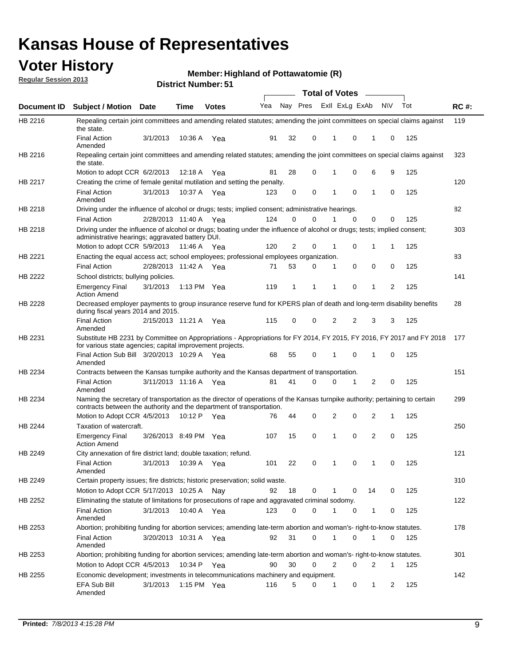## **Voter History**

**Member: Highland of Pottawatomie (R)** 

**Regular Session 2013**

|                    |                                                                                                                                                                                                       |                       |             | ו ט . וסטווואר ועוווסוש |     |              |          | <b>Total of Votes</b> |                         | $\sim$         |           |     |             |
|--------------------|-------------------------------------------------------------------------------------------------------------------------------------------------------------------------------------------------------|-----------------------|-------------|-------------------------|-----|--------------|----------|-----------------------|-------------------------|----------------|-----------|-----|-------------|
| <b>Document ID</b> | <b>Subject / Motion</b>                                                                                                                                                                               | Date                  | Time        | <b>Votes</b>            | Yea |              |          |                       | Nay Pres Exll ExLg ExAb |                | <b>NV</b> | Tot | <b>RC#:</b> |
| HB 2216            | Repealing certain joint committees and amending related statutes; amending the joint committees on special claims against<br>the state.                                                               |                       |             |                         |     |              |          |                       |                         |                |           |     | 119         |
|                    | <b>Final Action</b><br>Amended                                                                                                                                                                        | 3/1/2013              | 10:36 A     | Yea                     | 91  | 32           | 0        | 1                     | 0                       | 1              | 0         | 125 |             |
| HB 2216            | Repealing certain joint committees and amending related statutes; amending the joint committees on special claims against<br>the state.                                                               |                       |             |                         |     |              |          |                       |                         |                |           |     | 323         |
|                    | Motion to adopt CCR 6/2/2013                                                                                                                                                                          |                       | 12:18 A     | Yea                     | 81  | 28           | 0        | 1                     | 0                       | 6              | 9         | 125 |             |
| HB 2217            | Creating the crime of female genital mutilation and setting the penalty.                                                                                                                              |                       |             |                         |     |              |          |                       |                         |                |           |     | 120         |
|                    | <b>Final Action</b><br>Amended                                                                                                                                                                        | 3/1/2013              |             | 10:37 A Yea             | 123 | 0            | 0        | 1                     | $\mathbf 0$             | $\mathbf{1}$   | 0         | 125 |             |
| HB 2218            | Driving under the influence of alcohol or drugs; tests; implied consent; administrative hearings.                                                                                                     |                       |             |                         |     |              |          |                       |                         |                |           |     | 82          |
|                    | <b>Final Action</b>                                                                                                                                                                                   | 2/28/2013 11:40 A Yea |             |                         | 124 | 0            | 0        | 1                     | $\Omega$                | 0              | 0         | 125 |             |
| HB 2218            | Driving under the influence of alcohol or drugs; boating under the influence of alcohol or drugs; tests; implied consent;<br>administrative hearings; aggravated battery DUI.                         |                       |             |                         |     |              |          |                       |                         |                |           |     | 303         |
|                    | Motion to adopt CCR 5/9/2013                                                                                                                                                                          |                       | 11:46 A Yea |                         | 120 | 2            | 0        | 1                     | 0                       | 1              | 1         | 125 |             |
| HB 2221            | Enacting the equal access act; school employees; professional employees organization.                                                                                                                 |                       |             |                         |     |              |          |                       |                         |                |           |     | 83          |
|                    | <b>Final Action</b>                                                                                                                                                                                   | 2/28/2013 11:42 A Yea |             |                         | 71  | 53           | 0        | 1                     | 0                       | 0              | 0         | 125 |             |
| HB 2222            | School districts; bullying policies.<br><b>Emergency Final</b>                                                                                                                                        | 3/1/2013              |             | 1:13 PM Yea             | 119 | $\mathbf{1}$ | 1        | 1                     | 0                       | $\mathbf{1}$   | 2         | 125 | 141         |
|                    | <b>Action Amend</b>                                                                                                                                                                                   |                       |             |                         |     |              |          |                       |                         |                |           |     |             |
| HB 2228            | Decreased employer payments to group insurance reserve fund for KPERS plan of death and long-term disability benefits<br>during fiscal years 2014 and 2015.                                           |                       |             |                         |     |              |          |                       |                         |                |           |     | 28          |
|                    | <b>Final Action</b><br>Amended                                                                                                                                                                        | 2/15/2013 11:21 A Yea |             |                         | 115 | 0            | 0        | 2                     | 2                       | 3              | 3         | 125 |             |
| HB 2231            | Substitute HB 2231 by Committee on Appropriations - Appropriations for FY 2014, FY 2015, FY 2016, FY 2017 and FY 2018<br>for various state agencies; capital improvement projects.                    |                       |             |                         |     |              |          |                       |                         |                |           |     | 177         |
|                    | Final Action Sub Bill 3/20/2013 10:29 A Yea<br>Amended                                                                                                                                                |                       |             |                         | 68  | 55           | 0        |                       | 0                       | 1              | 0         | 125 |             |
| HB 2234            | Contracts between the Kansas turnpike authority and the Kansas department of transportation.                                                                                                          |                       |             |                         |     |              |          |                       |                         |                |           |     | 151         |
|                    | <b>Final Action</b><br>Amended                                                                                                                                                                        | 3/11/2013 11:16 A Yea |             |                         | 81  | 41           | $\Omega$ | 0                     | 1                       | $\overline{2}$ | 0         | 125 |             |
| HB 2234            | Naming the secretary of transportation as the director of operations of the Kansas turnpike authority; pertaining to certain<br>contracts between the authority and the department of transportation. |                       |             |                         |     |              |          |                       |                         |                |           |     | 299         |
|                    | Motion to Adopt CCR 4/5/2013                                                                                                                                                                          |                       | 10:12 P     | Yea                     | 76  | 44           | 0        | 2                     | 0                       | 2              | 1         | 125 |             |
| HB 2244            | Taxation of watercraft.<br><b>Emergency Final</b>                                                                                                                                                     | 3/26/2013 8:49 PM Yea |             |                         | 107 | 15           | 0        | 1                     | 0                       | 2              | 0         | 125 | 250         |
|                    | <b>Action Amend</b>                                                                                                                                                                                   |                       |             |                         |     |              |          |                       |                         |                |           |     |             |
| HB 2249            | City annexation of fire district land; double taxation; refund.                                                                                                                                       |                       |             |                         |     |              |          |                       |                         |                |           |     | 121         |
|                    | Final Action 3/1/2013 10:39 A Yea<br>Amended                                                                                                                                                          |                       |             |                         | 101 | 22           | 0        | $\mathbf{1}$          | 0                       | $\mathbf{1}$   | 0         | 125 |             |
| HB 2249            | Certain property issues; fire districts; historic preservation; solid waste.                                                                                                                          |                       |             |                         |     |              |          |                       |                         |                |           |     | 310         |
|                    | Motion to Adopt CCR 5/17/2013 10:25 A Nav                                                                                                                                                             |                       |             |                         | 92  | 18           | 0        | 1                     | 0                       | 14             | 0         | 125 |             |
| HB 2252            | Eliminating the statute of limitations for prosecutions of rape and aggravated criminal sodomy.                                                                                                       |                       |             |                         |     |              |          |                       |                         |                |           |     | 122         |
|                    | <b>Final Action</b><br>Amended                                                                                                                                                                        | 3/1/2013              |             | 10:40 A Yea             | 123 | 0            | 0        | 1                     | 0                       | $\mathbf{1}$   | 0         | 125 |             |
| HB 2253            | Abortion; prohibiting funding for abortion services; amending late-term abortion and woman's- right-to-know statutes.                                                                                 |                       |             |                         |     |              |          |                       |                         |                |           |     | 178         |
|                    | <b>Final Action</b><br>Amended                                                                                                                                                                        | 3/20/2013 10:31 A Yea |             |                         | 92  | 31           | 0        | 1                     | 0                       | 1              | 0         | 125 |             |
| HB 2253            | Abortion; prohibiting funding for abortion services; amending late-term abortion and woman's- right-to-know statutes.                                                                                 |                       |             |                         |     |              |          |                       |                         |                |           |     | 301         |
|                    | Motion to Adopt CCR 4/5/2013                                                                                                                                                                          |                       |             | 10:34 P Yea             | 90  | 30           | 0        | 2                     | 0                       | 2              | 1         | 125 |             |
| HB 2255            | Economic development; investments in telecommunications machinery and equipment.                                                                                                                      |                       |             |                         |     |              |          |                       |                         |                |           |     | 142         |
|                    | EFA Sub Bill<br>Amended                                                                                                                                                                               | 3/1/2013              |             | 1:15 PM $Yea$           | 116 | 5            | 0        | 1                     | 0                       | 1              | 2         | 125 |             |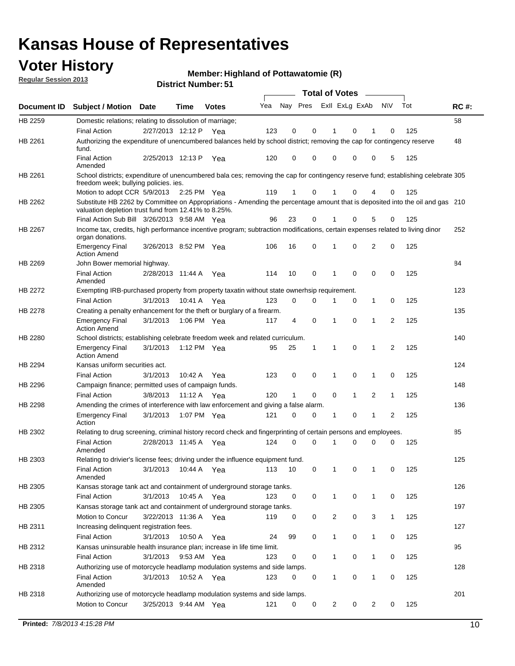## **Voter History**

**Member: Highland of Pottawatomie (R)** 

**Regular Session 2013**

|             |                                                                                                                                                                                       |                       | ו ט . וסטוווארו וטווע |              |     |                         |             | <b>Total of Votes</b> |              | $\overline{\phantom{a}}$ |              |     |             |
|-------------|---------------------------------------------------------------------------------------------------------------------------------------------------------------------------------------|-----------------------|-----------------------|--------------|-----|-------------------------|-------------|-----------------------|--------------|--------------------------|--------------|-----|-------------|
| Document ID | <b>Subject / Motion Date</b>                                                                                                                                                          |                       | <b>Time</b>           | <b>Votes</b> | Yea | Nay Pres Exll ExLg ExAb |             |                       |              |                          | <b>NV</b>    | Tot | <b>RC#:</b> |
| HB 2259     | Domestic relations; relating to dissolution of marriage;                                                                                                                              |                       |                       |              |     |                         |             |                       |              |                          |              |     | 58          |
|             | <b>Final Action</b>                                                                                                                                                                   | 2/27/2013 12:12 P     |                       | Yea          | 123 | 0                       | 0           | 1                     | 0            | 1                        | $\Omega$     | 125 |             |
| HB 2261     | Authorizing the expenditure of unencumbered balances held by school district; removing the cap for contingency reserve<br>fund.                                                       |                       |                       |              |     |                         |             |                       |              |                          |              |     | 48          |
|             | <b>Final Action</b><br>Amended                                                                                                                                                        | 2/25/2013 12:13 P     |                       | Yea          | 120 | 0                       | 0           | 0                     | 0            | 0                        | 5            | 125 |             |
| HB 2261     | School districts; expenditure of unencumbered bala ces; removing the cap for contingency reserve fund; establishing celebrate 305                                                     |                       |                       |              |     |                         |             |                       |              |                          |              |     |             |
|             | freedom week; bullying policies. ies.<br>Motion to adopt CCR 5/9/2013                                                                                                                 |                       | 2:25 PM Yea           |              | 119 | 1                       | 0           |                       | 0            | 4                        | 0            | 125 |             |
| HB 2262     | Substitute HB 2262 by Committee on Appropriations - Amending the percentage amount that is deposited into the oil and gas 210<br>valuation depletion trust fund from 12.41% to 8.25%. |                       |                       |              |     |                         |             |                       |              |                          |              |     |             |
|             | Final Action Sub Bill 3/26/2013 9:58 AM Yea                                                                                                                                           |                       |                       |              | 96  | 23                      | 0           |                       | 0            | 5                        | 0            | 125 |             |
| HB 2267     | Income tax, credits, high performance incentive program; subtraction modifications, certain expenses related to living dinor<br>organ donations.                                      |                       |                       |              |     |                         |             |                       |              |                          |              |     | 252         |
|             | <b>Emergency Final</b><br><b>Action Amend</b>                                                                                                                                         | 3/26/2013 8:52 PM Yea |                       |              | 106 | 16                      | 0           | 1                     | 0            | 2                        | 0            | 125 |             |
| HB 2269     | John Bower memorial highway.                                                                                                                                                          |                       |                       |              |     |                         |             |                       |              |                          |              |     | 84          |
|             | <b>Final Action</b><br>Amended                                                                                                                                                        | 2/28/2013 11:44 A Yea |                       |              | 114 | 10                      | 0           | 1                     | 0            | 0                        | 0            | 125 |             |
| HB 2272     | Exempting IRB-purchased property from property taxatin without state ownerhsip requirement.                                                                                           |                       |                       |              |     |                         |             |                       |              |                          |              |     | 123         |
|             | <b>Final Action</b>                                                                                                                                                                   | 3/1/2013              | 10:41 A               | Yea          | 123 | 0                       | 0           | 1                     | 0            | $\mathbf{1}$             | 0            | 125 |             |
| HB 2278     | Creating a penalty enhancement for the theft or burglary of a firearm.                                                                                                                |                       |                       |              |     |                         |             |                       |              |                          |              |     | 135         |
|             | <b>Emergency Final</b><br><b>Action Amend</b>                                                                                                                                         | 3/1/2013              | 1:06 PM Yea           |              | 117 | 4                       | $\mathbf 0$ | 1                     | 0            | 1                        | 2            | 125 |             |
| HB 2280     | School districts; establishing celebrate freedom week and related curriculum.                                                                                                         |                       |                       |              |     |                         |             |                       |              |                          |              |     | 140         |
|             | <b>Emergency Final</b><br><b>Action Amend</b>                                                                                                                                         | 3/1/2013              | 1:12 PM Yea           |              | 95  | 25                      | 1           | 1                     | 0            | 1                        | 2            | 125 |             |
| HB 2294     | Kansas uniform securities act.                                                                                                                                                        |                       |                       |              |     |                         |             |                       |              |                          |              |     | 124         |
|             | <b>Final Action</b>                                                                                                                                                                   | 3/1/2013              | 10:42 A               | Yea          | 123 | 0                       | 0           | 1                     | 0            | $\mathbf{1}$             | 0            | 125 |             |
| HB 2296     | Campaign finance; permitted uses of campaign funds.                                                                                                                                   |                       |                       |              |     |                         |             |                       |              |                          |              |     | 148         |
|             | <b>Final Action</b>                                                                                                                                                                   | 3/8/2013              | 11:12 A Yea           |              | 120 | $\mathbf{1}$            | 0           | 0                     | $\mathbf{1}$ | 2                        | $\mathbf{1}$ | 125 |             |
| HB 2298     | Amending the crimes of interference with law enforcement and giving a false alarm.                                                                                                    |                       |                       |              |     |                         |             |                       |              |                          |              |     | 136         |
|             | <b>Emergency Final</b><br>Action                                                                                                                                                      | 3/1/2013              | 1:07 PM Yea           |              | 121 | 0                       | 0           | 1                     | 0            | 1                        | 2            | 125 |             |
| HB 2302     | Relating to drug screening, criminal history record check and fingerprinting of certain persons and employees.                                                                        |                       |                       |              |     |                         |             |                       |              |                          |              |     | 85          |
|             | <b>Final Action</b><br>Amended                                                                                                                                                        | 2/28/2013 11:45 A     |                       | Yea          | 124 | 0                       | $\Omega$    | 1                     | 0            | 0                        | $\mathbf 0$  | 125 |             |
| HB 2303     | Relating to drivier's license fees; driving under the influence equipment fund.                                                                                                       |                       |                       |              |     |                         |             |                       |              |                          |              |     | 125         |
|             | <b>Final Action</b><br>Amended                                                                                                                                                        | 3/1/2013              | 10:44 A               | Yea          | 113 | 10                      | 0           | 1                     | 0            | 1                        | 0            | 125 |             |
| HB 2305     | Kansas storage tank act and containment of underground storage tanks.                                                                                                                 |                       |                       |              |     |                         |             |                       |              |                          |              |     | 126         |
|             | <b>Final Action</b>                                                                                                                                                                   | 3/1/2013              | 10:45 A               | Yea          | 123 | 0                       | 0           | 1                     | 0            | 1                        | 0            | 125 |             |
| HB 2305     | Kansas storage tank act and containment of underground storage tanks.                                                                                                                 |                       |                       |              |     |                         |             |                       |              |                          |              |     | 197         |
|             | Motion to Concur                                                                                                                                                                      | 3/22/2013 11:36 A     |                       | Yea          | 119 | 0                       | 0           | 2                     | 0            | 3                        | $\mathbf{1}$ | 125 |             |
| HB 2311     | Increasing delinquent registration fees.                                                                                                                                              |                       |                       |              |     |                         |             |                       |              |                          |              |     | 127         |
|             | <b>Final Action</b>                                                                                                                                                                   | 3/1/2013              | 10:50 A               | Yea          | 24  | 99                      | 0           | $\mathbf{1}$          | 0            | 1                        | 0            | 125 |             |
| HB 2312     | Kansas uninsurable health insurance plan; increase in life time limit.                                                                                                                |                       |                       |              |     |                         |             |                       |              |                          |              |     | 95          |
|             | <b>Final Action</b>                                                                                                                                                                   | 3/1/2013              | 9:53 AM Yea           |              | 123 | 0                       | 0           | 1                     | 0            | 1                        | 0            | 125 |             |
| HB 2318     | Authorizing use of motorcycle headlamp modulation systems and side lamps.                                                                                                             |                       |                       |              |     |                         |             |                       |              |                          |              |     | 128         |
|             | <b>Final Action</b><br>Amended                                                                                                                                                        | 3/1/2013              | 10:52 A               | Yea          | 123 | 0                       | 0           | 1                     | 0            | 1                        | 0            | 125 |             |
| HB 2318     | Authorizing use of motorcycle headlamp modulation systems and side lamps.                                                                                                             |                       |                       |              |     |                         |             |                       |              |                          |              |     | 201         |
|             | Motion to Concur                                                                                                                                                                      | 3/25/2013 9:44 AM Yea |                       |              | 121 | 0                       | 0           | $\overline{2}$        | 0            | $\overline{c}$           | 0            | 125 |             |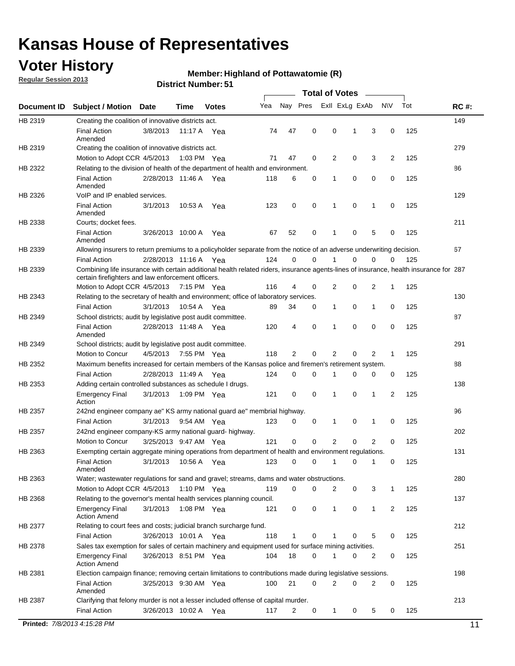## **Voter History**

**Regular Session 2013**

#### **Member: Highland of Pottawatomie (R)**

|             |                                                                                                                                                                                             |                       | <b>DISTRICT MAILINGLY</b> |              |     |                |             | Total of Votes          |          |              |              |     |             |
|-------------|---------------------------------------------------------------------------------------------------------------------------------------------------------------------------------------------|-----------------------|---------------------------|--------------|-----|----------------|-------------|-------------------------|----------|--------------|--------------|-----|-------------|
| Document ID | <b>Subject / Motion Date</b>                                                                                                                                                                |                       | <b>Time</b>               | <b>Votes</b> | Yea |                |             | Nay Pres Exll ExLg ExAb |          |              | <b>NV</b>    | Tot | <b>RC#:</b> |
| HB 2319     | Creating the coalition of innovative districts act.                                                                                                                                         |                       |                           |              |     |                |             |                         |          |              |              |     | 149         |
|             | <b>Final Action</b><br>Amended                                                                                                                                                              | 3/8/2013              | 11:17 A Yea               |              | 74  | 47             | 0           | $\mathbf 0$             | 1        | 3            | 0            | 125 |             |
| HB 2319     | Creating the coalition of innovative districts act.                                                                                                                                         |                       |                           |              |     |                |             |                         |          |              |              |     | 279         |
|             | Motion to Adopt CCR 4/5/2013                                                                                                                                                                |                       | 1:03 PM Yea               |              | 71  | 47             | 0           | 2                       | 0        | 3            | 2            | 125 |             |
| HB 2322     | Relating to the division of health of the department of health and environment.                                                                                                             |                       |                           |              |     |                |             |                         |          |              |              |     | 86          |
|             | <b>Final Action</b><br>Amended                                                                                                                                                              | 2/28/2013 11:46 A Yea |                           |              | 118 | 6              | 0           | 1                       | 0        | 0            | 0            | 125 |             |
| HB 2326     | VoIP and IP enabled services.                                                                                                                                                               |                       |                           |              |     |                |             |                         |          |              |              |     | 129         |
|             | <b>Final Action</b><br>Amended                                                                                                                                                              | 3/1/2013              | 10:53 A                   | Yea          | 123 | $\mathbf 0$    | 0           | 1                       | 0        | 1            | 0            | 125 |             |
| HB 2338     | Courts; docket fees.                                                                                                                                                                        |                       |                           |              |     |                |             |                         |          |              |              |     | 211         |
|             | <b>Final Action</b><br>Amended                                                                                                                                                              | 3/26/2013 10:00 A Yea |                           |              | 67  | 52             | 0           | 1                       | 0        | 5            | 0            | 125 |             |
| HB 2339     | Allowing insurers to return premiums to a policyholder separate from the notice of an adverse underwriting decision.                                                                        |                       |                           |              |     |                |             |                         |          |              |              |     | 67          |
|             | <b>Final Action</b>                                                                                                                                                                         | 2/28/2013 11:16 A Yea |                           |              | 124 | 0              | $\mathbf 0$ | 1                       | $\Omega$ | 0            | 0            | 125 |             |
| HB 2339     | Combining life insurance with certain additional health related riders, insurance agents-lines of insurance, health insurance for 287<br>certain firefighters and law enforcement officers. |                       |                           |              |     |                |             |                         |          |              |              |     |             |
|             | Motion to Adopt CCR 4/5/2013 7:15 PM Yea                                                                                                                                                    |                       |                           |              | 116 | $\overline{4}$ | 0           | 2                       | 0        | 2            | $\mathbf{1}$ | 125 |             |
| HB 2343     | Relating to the secretary of health and environment; office of laboratory services.                                                                                                         |                       |                           |              |     |                |             |                         |          |              |              |     | 130         |
|             | <b>Final Action</b>                                                                                                                                                                         | 3/1/2013              | 10.54 A                   | Yea          | 89  | 34             | 0           | 1                       | 0        | 1            | 0            | 125 |             |
| HB 2349     | School districts; audit by legislative post audit committee.                                                                                                                                |                       |                           |              |     |                |             |                         |          |              |              |     | 87          |
|             | <b>Final Action</b><br>Amended                                                                                                                                                              | 2/28/2013 11:48 A Yea |                           |              | 120 | 4              | $\mathbf 0$ | 1                       | 0        | 0            | 0            | 125 |             |
| HB 2349     | School districts; audit by legislative post audit committee.                                                                                                                                |                       |                           |              |     |                |             |                         |          |              |              |     | 291         |
|             | Motion to Concur                                                                                                                                                                            | 4/5/2013              | 7:55 PM Yea               |              | 118 | 2              | $\mathbf 0$ | $\overline{2}$          | $\Omega$ | 2            |              | 125 |             |
| HB 2352     | Maximum benefits increased for certain members of the Kansas police and firemen's retirement system.                                                                                        |                       |                           |              |     |                |             |                         |          |              |              |     | 88          |
|             | <b>Final Action</b>                                                                                                                                                                         | 2/28/2013 11:49 A Yea |                           |              | 124 | 0              | 0           | 1                       | 0        | 0            | 0            | 125 |             |
| HB 2353     | Adding certain controlled substances as schedule I drugs.                                                                                                                                   |                       |                           |              |     |                |             |                         |          |              |              |     | 138         |
|             | <b>Emergency Final</b><br>Action                                                                                                                                                            | 3/1/2013              | 1:09 PM Yea               |              | 121 | 0              | 0           | $\mathbf{1}$            | 0        | 1            | 2            | 125 |             |
| HB 2357     | 242nd engineer company ae" KS army national guard ae" membrial highway.                                                                                                                     |                       |                           |              |     |                |             |                         |          |              |              |     | 96          |
|             | <b>Final Action</b>                                                                                                                                                                         | 3/1/2013              | 9:54 AM Yea               |              | 123 | 0              | 0           | 1                       | 0        | 1            | 0            | 125 |             |
| HB 2357     | 242nd engineer company-KS army national guard- highway.                                                                                                                                     |                       |                           |              |     |                |             |                         |          |              |              |     | 202         |
|             | Motion to Concur                                                                                                                                                                            | 3/25/2013 9:47 AM Yea |                           |              | 121 | $\mathbf 0$    | $\mathbf 0$ | $\overline{2}$          | 0        | 2            | 0            | 125 |             |
| HB 2363     | Exempting certain aggregate mining operations from department of health and environment regulations.                                                                                        |                       |                           |              |     |                |             |                         |          |              |              |     | 131         |
|             | Final Action 3/1/2013 10:56 A Yea 123 0 0 1<br>Amended                                                                                                                                      |                       |                           |              |     |                |             |                         | 010      |              |              | 125 |             |
| HB 2363     | Water; wastewater regulations for sand and gravel; streams, dams and water obstructions.                                                                                                    |                       |                           |              |     |                |             |                         |          |              |              |     | 280         |
|             | Motion to Adopt CCR 4/5/2013 1:10 PM Yea                                                                                                                                                    |                       |                           |              | 119 | 0              | 0           | $\overline{2}$          | 0        | 3            | 1            | 125 |             |
| HB 2368     | Relating to the governor's mental health services planning council.                                                                                                                         |                       |                           |              |     |                |             |                         |          |              |              |     | 137         |
|             | <b>Emergency Final</b><br><b>Action Amend</b>                                                                                                                                               | 3/1/2013              | 1:08 PM Yea               |              | 121 | 0              | 0           | 1                       | 0        | $\mathbf{1}$ | 2            | 125 |             |
| HB 2377     | Relating to court fees and costs; judicial branch surcharge fund.                                                                                                                           |                       |                           |              |     |                |             |                         |          |              |              |     | 212         |
|             | <b>Final Action</b>                                                                                                                                                                         | 3/26/2013 10:01 A Yea |                           |              | 118 |                | 0           |                         | 0        | 5            | 0            | 125 |             |
| HB 2378     | Sales tax exemption for sales of certain machinery and equipment used for surface mining activities.                                                                                        |                       |                           |              |     |                |             |                         |          |              |              |     | 251         |
|             | <b>Emergency Final</b><br><b>Action Amend</b>                                                                                                                                               | 3/26/2013 8:51 PM Yea |                           |              | 104 | 18             | 0           | 1                       | 0        | 2            | 0            | 125 |             |
| HB 2381     | Election campaign finance; removing certain limitations to contributions made during legislative sessions.                                                                                  |                       |                           |              |     |                |             |                         |          |              |              |     | 198         |
|             | <b>Final Action</b>                                                                                                                                                                         | 3/25/2013 9:30 AM Yea |                           |              | 100 | 21             | 0           | 2                       | 0        | 2            | 0            | 125 |             |
|             | Amended                                                                                                                                                                                     |                       |                           |              |     |                |             |                         |          |              |              |     |             |
| HB 2387     | Clarifying that felony murder is not a lesser included offense of capital murder.                                                                                                           |                       |                           |              |     |                |             |                         |          |              |              |     | 213         |
|             | <b>Final Action</b>                                                                                                                                                                         | 3/26/2013 10:02 A Yea |                           |              | 117 | 2              | 0           | $\mathbf{1}$            | 0        | 5            | 0            | 125 |             |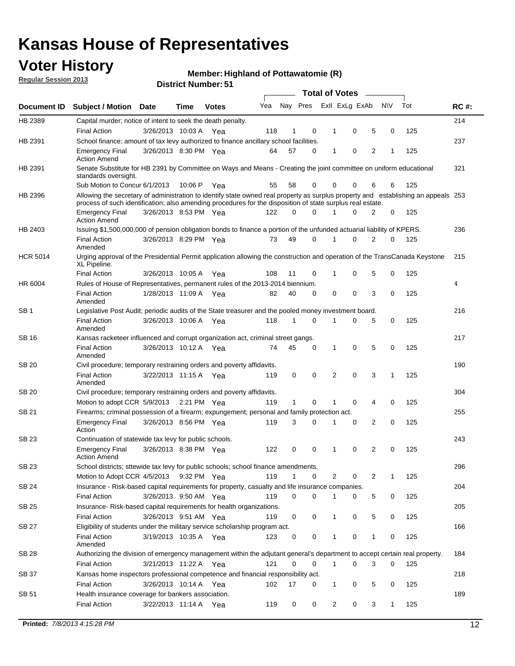## **Voter History**

**Member: Highland of Pottawatomie (R)** 

**Regular Session 2013**

| Document ID     | <b>Total of Votes</b>                                                                                                                                                                                                                            |                                                                                                     |         |              |                                                 |              |   |                |   |   |           |     |             |  |
|-----------------|--------------------------------------------------------------------------------------------------------------------------------------------------------------------------------------------------------------------------------------------------|-----------------------------------------------------------------------------------------------------|---------|--------------|-------------------------------------------------|--------------|---|----------------|---|---|-----------|-----|-------------|--|
|                 | <b>Subject / Motion Date</b>                                                                                                                                                                                                                     |                                                                                                     | Time    | <b>Votes</b> | Yea                                             | Nay Pres     |   | Exll ExLg ExAb |   |   | <b>NV</b> | Tot | <b>RC#:</b> |  |
| HB 2389         | Capital murder; notice of intent to seek the death penalty.                                                                                                                                                                                      |                                                                                                     |         |              |                                                 |              |   |                |   |   |           |     | 214         |  |
|                 | <b>Final Action</b>                                                                                                                                                                                                                              | 3/26/2013 10:03 A                                                                                   |         | Yea          | 118                                             | 1            | 0 | 1              | 0 | 5 | 0         | 125 |             |  |
| HB 2391         | School finance; amount of tax levy authorized to finance ancillary school facilities.                                                                                                                                                            |                                                                                                     |         |              |                                                 |              |   |                |   |   |           |     | 237         |  |
|                 | <b>Emergency Final</b><br><b>Action Amend</b>                                                                                                                                                                                                    | 3/26/2013 8:30 PM Yea                                                                               |         |              | 64                                              | 57           | 0 | 1              | 0 | 2 | 1         | 125 |             |  |
| HB 2391         | Senate Substitute for HB 2391 by Committee on Ways and Means - Creating the joint committee on uniform educational<br>standards oversight.                                                                                                       |                                                                                                     |         |              |                                                 |              |   |                |   |   |           |     | 321         |  |
|                 | Sub Motion to Concur 6/1/2013                                                                                                                                                                                                                    |                                                                                                     | 10:06 P | Yea          | 55                                              | 58           | 0 | 0              | 0 | 6 | 6         | 125 |             |  |
| HB 2396         | Allowing the secretary of administration to identify state owned real property as surplus property and establishing an appeals 253<br>process of such identification; also amending procedures for the disposition of state surplus real estate. |                                                                                                     |         |              |                                                 |              |   |                |   |   |           |     |             |  |
|                 | <b>Emergency Final</b><br><b>Action Amend</b>                                                                                                                                                                                                    | 3/26/2013 8:53 PM Yea                                                                               |         |              | 122                                             | 0            | 0 | 1              | 0 | 2 | 0         | 125 |             |  |
| HB 2403         | Issuing \$1,500,000,000 of pension obligation bonds to finance a portion of the unfunded actuarial liability of KPERS.                                                                                                                           |                                                                                                     |         |              |                                                 |              |   |                |   |   |           |     | 236         |  |
|                 | <b>Final Action</b><br>Amended                                                                                                                                                                                                                   | 3/26/2013 8:29 PM Yea                                                                               |         |              | 73                                              | 49           | 0 | 1              | 0 | 2 | 0         | 125 |             |  |
| <b>HCR 5014</b> | Urging approval of the Presidential Permit application allowing the construction and operation of the TransCanada Keystone<br>XL Pipeline.                                                                                                       |                                                                                                     |         |              |                                                 |              |   |                |   |   |           |     | 215         |  |
|                 | <b>Final Action</b>                                                                                                                                                                                                                              | 3/26/2013 10:05 A                                                                                   |         | Yea          | 108                                             | 11           | 0 | 1              | 0 | 5 | 0         | 125 |             |  |
| HR 6004         | Rules of House of Representatives, permanent rules of the 2013-2014 biennium.                                                                                                                                                                    |                                                                                                     |         |              |                                                 |              |   |                |   |   |           |     | 4           |  |
|                 | <b>Final Action</b><br>Amended                                                                                                                                                                                                                   | 1/28/2013 11:09 A                                                                                   |         | Yea          | 82                                              | 40           | 0 | 0              | 0 | 3 | 0         | 125 |             |  |
| SB <sub>1</sub> | Legislative Post Audit; periodic audits of the State treasurer and the pooled money investment board.                                                                                                                                            |                                                                                                     |         |              |                                                 |              |   |                |   |   |           |     | 216         |  |
|                 | <b>Final Action</b><br>Amended                                                                                                                                                                                                                   | 3/26/2013 10:06 A Yea                                                                               |         |              | 118                                             | $\mathbf 1$  | 0 | 1              | 0 | 5 | 0         | 125 |             |  |
| SB 16           | Kansas racketeer influenced and corrupt organization act, criminal street gangs.                                                                                                                                                                 |                                                                                                     |         |              |                                                 |              |   |                |   |   |           |     | 217         |  |
|                 | <b>Final Action</b><br>Amended                                                                                                                                                                                                                   | 3/26/2013 10:12 A Yea                                                                               |         |              | 74                                              | 45           | 0 | 1              | 0 | 5 | 0         | 125 |             |  |
| SB 20           | Civil procedure; temporary restraining orders and poverty affidavits.                                                                                                                                                                            |                                                                                                     |         |              |                                                 |              |   |                |   |   |           |     | 190         |  |
|                 | <b>Final Action</b><br>Amended                                                                                                                                                                                                                   | 3/22/2013 11:15 A                                                                                   |         | Yea          | 119                                             | 0            | 0 | 2              | 0 | 3 | 1         | 125 |             |  |
| SB 20           | Civil procedure; temporary restraining orders and poverty affidavits.                                                                                                                                                                            |                                                                                                     |         |              |                                                 |              |   |                |   |   |           |     | 304         |  |
|                 | Motion to adopt CCR 5/9/2013 2:21 PM Yea                                                                                                                                                                                                         |                                                                                                     |         |              | 119                                             | $\mathbf{1}$ | 0 | 1              | 0 | 4 | 0         | 125 |             |  |
| SB 21           |                                                                                                                                                                                                                                                  | 255<br>Firearms; criminal possession of a firearm; expungement; personal and family protection act. |         |              |                                                 |              |   |                |   |   |           |     |             |  |
|                 | <b>Emergency Final</b><br>Action                                                                                                                                                                                                                 | 3/26/2013 8:56 PM Yea                                                                               |         |              | 119                                             | 3            | 0 | 1              | 0 | 2 | 0         | 125 |             |  |
| SB 23           | Continuation of statewide tax levy for public schools.                                                                                                                                                                                           |                                                                                                     |         |              |                                                 |              |   |                |   |   |           |     | 243         |  |
|                 | <b>Emergency Final</b><br><b>Action Amend</b>                                                                                                                                                                                                    | 3/26/2013 8:38 PM Yea                                                                               |         |              | 122                                             | 0            | 0 | 1              | 0 | 2 | 0         | 125 |             |  |
| SB 23           | School districts; sttewide tax levy for public schools; school finance amendments.                                                                                                                                                               |                                                                                                     |         |              |                                                 |              |   |                |   |   |           |     | 296         |  |
|                 | Motion to Adopt CCR 4/5/2013 9:32 PM Yea                                                                                                                                                                                                         |                                                                                                     |         |              | 119                                             | $\mathbf 1$  | 0 | 2              | 0 | 2 | 1         | 125 |             |  |
| SB 24           | Insurance - Risk-based capital requirements for property, casualty and life insurance companies.                                                                                                                                                 |                                                                                                     |         |              |                                                 |              |   |                |   |   |           |     | 204         |  |
|                 | <b>Final Action</b>                                                                                                                                                                                                                              | 3/26/2013 9:50 AM Yea                                                                               |         |              | 119                                             | 0            | 0 | 1              | 0 | 5 | 0         | 125 |             |  |
| SB 25           | Insurance-Risk-based capital requirements for health organizations.                                                                                                                                                                              |                                                                                                     |         |              |                                                 |              |   |                |   |   |           |     | 205         |  |
|                 | <b>Final Action</b>                                                                                                                                                                                                                              | 3/26/2013 9:51 AM Yea                                                                               |         |              | 119                                             | 0            | 0 | 1              | 0 | 5 | 0         | 125 |             |  |
| SB 27           | Eligibility of students under the military service scholarship program act.                                                                                                                                                                      |                                                                                                     |         |              |                                                 |              |   |                |   |   |           |     | 166         |  |
|                 | <b>Final Action</b><br>Amended                                                                                                                                                                                                                   | 3/19/2013 10:35 A Yea                                                                               |         |              | 123                                             | 0            | 0 | 1              | 0 | 1 | 0         | 125 |             |  |
| SB 28           | Authorizing the division of emergency management within the adjutant general's department to accept certain real property.                                                                                                                       |                                                                                                     |         |              |                                                 |              |   |                |   |   |           |     | 184         |  |
|                 | Final Action                                                                                                                                                                                                                                     | 3/21/2013 11:22 A Yea                                                                               |         |              | 121<br>0<br>$\Omega$<br>0<br>0<br>125<br>1<br>3 |              |   |                |   |   |           |     |             |  |
| SB 37           | Kansas home inspectors professional competence and financial responsibility act.                                                                                                                                                                 |                                                                                                     |         |              |                                                 |              |   |                |   |   |           |     | 218         |  |
|                 | <b>Final Action</b>                                                                                                                                                                                                                              | 3/26/2013 10:14 A Yea                                                                               |         |              | 102                                             | 17           | 0 | 1              | 0 | 5 | 0         | 125 |             |  |
| SB 51           | Health insurance coverage for bankers association.                                                                                                                                                                                               |                                                                                                     |         |              |                                                 |              |   |                |   |   |           |     | 189         |  |
|                 | <b>Final Action</b>                                                                                                                                                                                                                              | 3/22/2013 11:14 A Yea                                                                               |         |              | 119                                             | 0            | 0 | 2              | 0 | 3 | 1         | 125 |             |  |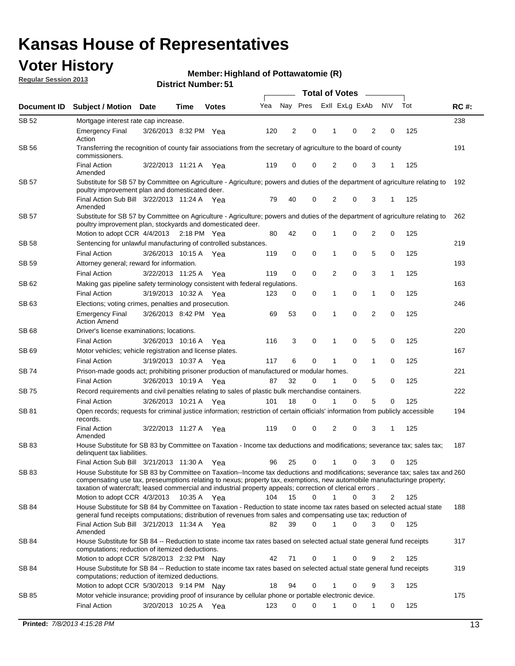## **Voter History**

**Member: Highland of Pottawatomie (R)** 

**Regular Session 2013**

| Nay Pres<br>Exll ExLg ExAb<br><b>NV</b><br>Tot<br>Yea<br><b>RC#:</b><br>Subject / Motion Date<br>Document ID<br>Time<br><b>Votes</b><br>SB 52<br>238<br>Mortgage interest rate cap increase.<br>2<br>0<br>0<br>2<br>125<br><b>Emergency Final</b><br>3/26/2013 8:32 PM Yea<br>120<br>0<br>1<br>Action<br>SB 56<br>191<br>Transferring the recognition of county fair associations from the secretary of agriculture to the board of county<br>commissioners.<br><b>Final Action</b><br>0<br>0<br>2<br>0<br>3<br>125<br>3/22/2013 11:21 A Yea<br>119<br>1<br>Amended<br><b>SB 57</b><br>Substitute for SB 57 by Committee on Agriculture - Agriculture; powers and duties of the department of agriculture relating to<br>192<br>poultry improvement plan and domesticated deer.<br>Final Action Sub Bill 3/22/2013 11:24 A Yea<br>79<br>40<br>0<br>2<br>0<br>125<br>3<br>1<br>Amended<br>SB 57<br>Substitute for SB 57 by Committee on Agriculture - Agriculture; powers and duties of the department of agriculture relating to<br>262<br>poultry improvement plan, stockyards and domesticated deer.<br>Motion to adopt CCR 4/4/2013 2:18 PM Yea<br>42<br>0<br>0<br>2<br>0<br>125<br>80<br>1<br>SB 58<br>Sentencing for unlawful manufacturing of controlled substances.<br>219<br>0<br>5<br><b>Final Action</b><br>0<br>0<br>0<br>125<br>3/26/2013 10:15 A Yea<br>119<br>1<br>193<br>SB 59<br>Attorney general; reward for information.<br>0<br>$\mathbf 0$<br>0<br>3<br><b>Final Action</b><br>3/22/2013 11:25 A<br>119<br>2<br>$\mathbf{1}$<br>125<br>Yea<br>163<br>SB 62<br>Making gas pipeline safety terminology consistent with federal regulations.<br>0<br><b>Final Action</b><br>0<br>$\mathbf{1}$<br>0<br>125<br>3/19/2013 10:32 A Yea<br>123<br>0<br>1<br>246<br>SB 63<br>Elections; voting crimes, penalties and prosecution.<br>53<br>0<br>2<br>$\mathbf 0$<br>0<br>125<br><b>Emergency Final</b><br>3/26/2013 8:42 PM Yea<br>69<br>1<br><b>Action Amend</b><br>220<br>SB 68<br>Driver's license examinations; locations.<br>5<br><b>Final Action</b><br>3/26/2013 10:16 A<br>116<br>3<br>0<br>0<br>0<br>125<br>Yea<br>1<br>167<br>SB 69<br>Motor vehicles; vehicle registration and license plates.<br><b>Final Action</b><br>3/19/2013 10:37 A<br>6<br>0<br>0<br>0<br>125<br>117<br>1<br>Yea<br>Prison-made goods act; prohibiting prisoner production of manufactured or modular homes.<br>221<br>SB 74<br>5<br><b>Final Action</b><br>3/26/2013 10:19 A<br>87<br>32<br>0<br>0<br>125<br>Yea<br>0<br>222<br>SB 75<br>Record requirements and civil penalties relating to sales of plastic bulk merchandise containers.<br>5<br><b>Final Action</b><br>3/26/2013 10:21 A<br>18<br>0<br>0<br>125<br>101<br>0<br>Yea<br>Open records; requests for criminal justice information; restriction of certain officials' information from publicly accessible<br>194<br>SB 81<br>records.<br>0<br>0<br>$\overline{2}$<br>3<br><b>Final Action</b><br>3/22/2013 11:27 A<br>119<br>0<br>125<br>Yea<br>Amended<br><b>SB83</b><br>House Substitute for SB 83 by Committee on Taxation - Income tax deductions and modifications; severance tax; sales tax;<br>187<br>delinquent tax liabilities.<br>125<br>Final Action Sub Bill 3/21/2013 11:30 A Yea<br>25<br>0<br>$\mathbf{1}$<br>3<br>0<br>96<br>0<br>SB 83<br>House Substitute for SB 83 by Committee on Taxation--Income tax deductions and modifications; severance tax; sales tax and 260<br>compensating use tax, preseumptions relating to nexus; property tax, exemptions, new automobile manufacturinge property;<br>taxation of watercraft; leased commercial and industrial property appeals; correction of clerical errors.<br>104<br>15<br>0<br>0<br>Motion to adopt CCR 4/3/2013<br>10:35 A Yea<br>1<br>3<br>2<br>125<br>House Substitute for SB 84 by Committee on Taxation - Reduction to state income tax rates based on selected actual state<br>SB 84<br>188<br>general fund receipts computations; distribution of revenues from sales and compensating use tax; reduction of<br>Final Action Sub Bill 3/21/2013 11:34 A Yea<br>39<br>0<br>$\mathbf{1}$<br>0<br>82<br>3<br>0<br>125<br>Amended<br>317<br>SB 84<br>House Substitute for SB 84 -- Reduction to state income tax rates based on selected actual state general fund receipts<br>computations; reduction of itemized deductions.<br>0<br>0<br>125<br>Motion to adopt CCR 5/28/2013 2:32 PM Nay<br>42<br>71<br>9<br>2<br>House Substitute for SB 84 -- Reduction to state income tax rates based on selected actual state general fund receipts<br>SB 84<br>319<br>computations; reduction of itemized deductions.<br>94<br>Motion to adopt CCR 5/30/2013 9:14 PM Nav<br>18<br>0<br>1<br>0<br>9<br>3<br>125<br>SB 85<br>Motor vehicle insurance; providing proof of insurance by cellular phone or portable electronic device.<br>175<br>0<br>0<br>125<br><b>Final Action</b><br>3/20/2013 10:25 A Yea<br>123<br>1<br>0<br>1<br>0 |  |  |  |  | <b>Total of Votes</b> |  |  |  |  |  |  |  |  |  |  |  |
|--------------------------------------------------------------------------------------------------------------------------------------------------------------------------------------------------------------------------------------------------------------------------------------------------------------------------------------------------------------------------------------------------------------------------------------------------------------------------------------------------------------------------------------------------------------------------------------------------------------------------------------------------------------------------------------------------------------------------------------------------------------------------------------------------------------------------------------------------------------------------------------------------------------------------------------------------------------------------------------------------------------------------------------------------------------------------------------------------------------------------------------------------------------------------------------------------------------------------------------------------------------------------------------------------------------------------------------------------------------------------------------------------------------------------------------------------------------------------------------------------------------------------------------------------------------------------------------------------------------------------------------------------------------------------------------------------------------------------------------------------------------------------------------------------------------------------------------------------------------------------------------------------------------------------------------------------------------------------------------------------------------------------------------------------------------------------------------------------------------------------------------------------------------------------------------------------------------------------------------------------------------------------------------------------------------------------------------------------------------------------------------------------------------------------------------------------------------------------------------------------------------------------------------------------------------------------------------------------------------------------------------------------------------------------------------------------------------------------------------------------------------------------------------------------------------------------------------------------------------------------------------------------------------------------------------------------------------------------------------------------------------------------------------------------------------------------------------------------------------------------------------------------------------------------------------------------------------------------------------------------------------------------------------------------------------------------------------------------------------------------------------------------------------------------------------------------------------------------------------------------------------------------------------------------------------------------------------------------------------------------------------------------------------------------------------------------------------------------------------------------------------------------------------------------------------------------------------------------------------------------------------------------------------------------------------------------------------------------------------------------------------------------------------------------------------------------------------------------------------------------------------------------------------------------------------------------------------------------------------------------------------------------------------------------------------------------------------------------------------------------------------------------------------------------------------------------------------------------------------------------------------------------------------------------------------------------------------------------------------------------------------------------------------------------------------------------------------------------------------------------------------------------------------------------------------------------------------------------------------------------------------------------------------------------------------------------------------------------|--|--|--|--|-----------------------|--|--|--|--|--|--|--|--|--|--|--|
|                                                                                                                                                                                                                                                                                                                                                                                                                                                                                                                                                                                                                                                                                                                                                                                                                                                                                                                                                                                                                                                                                                                                                                                                                                                                                                                                                                                                                                                                                                                                                                                                                                                                                                                                                                                                                                                                                                                                                                                                                                                                                                                                                                                                                                                                                                                                                                                                                                                                                                                                                                                                                                                                                                                                                                                                                                                                                                                                                                                                                                                                                                                                                                                                                                                                                                                                                                                                                                                                                                                                                                                                                                                                                                                                                                                                                                                                                                                                                                                                                                                                                                                                                                                                                                                                                                                                                                                                                                                                                                                                                                                                                                                                                                                                                                                                                                                                                                                                                                          |  |  |  |  |                       |  |  |  |  |  |  |  |  |  |  |  |
|                                                                                                                                                                                                                                                                                                                                                                                                                                                                                                                                                                                                                                                                                                                                                                                                                                                                                                                                                                                                                                                                                                                                                                                                                                                                                                                                                                                                                                                                                                                                                                                                                                                                                                                                                                                                                                                                                                                                                                                                                                                                                                                                                                                                                                                                                                                                                                                                                                                                                                                                                                                                                                                                                                                                                                                                                                                                                                                                                                                                                                                                                                                                                                                                                                                                                                                                                                                                                                                                                                                                                                                                                                                                                                                                                                                                                                                                                                                                                                                                                                                                                                                                                                                                                                                                                                                                                                                                                                                                                                                                                                                                                                                                                                                                                                                                                                                                                                                                                                          |  |  |  |  |                       |  |  |  |  |  |  |  |  |  |  |  |
|                                                                                                                                                                                                                                                                                                                                                                                                                                                                                                                                                                                                                                                                                                                                                                                                                                                                                                                                                                                                                                                                                                                                                                                                                                                                                                                                                                                                                                                                                                                                                                                                                                                                                                                                                                                                                                                                                                                                                                                                                                                                                                                                                                                                                                                                                                                                                                                                                                                                                                                                                                                                                                                                                                                                                                                                                                                                                                                                                                                                                                                                                                                                                                                                                                                                                                                                                                                                                                                                                                                                                                                                                                                                                                                                                                                                                                                                                                                                                                                                                                                                                                                                                                                                                                                                                                                                                                                                                                                                                                                                                                                                                                                                                                                                                                                                                                                                                                                                                                          |  |  |  |  |                       |  |  |  |  |  |  |  |  |  |  |  |
|                                                                                                                                                                                                                                                                                                                                                                                                                                                                                                                                                                                                                                                                                                                                                                                                                                                                                                                                                                                                                                                                                                                                                                                                                                                                                                                                                                                                                                                                                                                                                                                                                                                                                                                                                                                                                                                                                                                                                                                                                                                                                                                                                                                                                                                                                                                                                                                                                                                                                                                                                                                                                                                                                                                                                                                                                                                                                                                                                                                                                                                                                                                                                                                                                                                                                                                                                                                                                                                                                                                                                                                                                                                                                                                                                                                                                                                                                                                                                                                                                                                                                                                                                                                                                                                                                                                                                                                                                                                                                                                                                                                                                                                                                                                                                                                                                                                                                                                                                                          |  |  |  |  |                       |  |  |  |  |  |  |  |  |  |  |  |
|                                                                                                                                                                                                                                                                                                                                                                                                                                                                                                                                                                                                                                                                                                                                                                                                                                                                                                                                                                                                                                                                                                                                                                                                                                                                                                                                                                                                                                                                                                                                                                                                                                                                                                                                                                                                                                                                                                                                                                                                                                                                                                                                                                                                                                                                                                                                                                                                                                                                                                                                                                                                                                                                                                                                                                                                                                                                                                                                                                                                                                                                                                                                                                                                                                                                                                                                                                                                                                                                                                                                                                                                                                                                                                                                                                                                                                                                                                                                                                                                                                                                                                                                                                                                                                                                                                                                                                                                                                                                                                                                                                                                                                                                                                                                                                                                                                                                                                                                                                          |  |  |  |  |                       |  |  |  |  |  |  |  |  |  |  |  |
|                                                                                                                                                                                                                                                                                                                                                                                                                                                                                                                                                                                                                                                                                                                                                                                                                                                                                                                                                                                                                                                                                                                                                                                                                                                                                                                                                                                                                                                                                                                                                                                                                                                                                                                                                                                                                                                                                                                                                                                                                                                                                                                                                                                                                                                                                                                                                                                                                                                                                                                                                                                                                                                                                                                                                                                                                                                                                                                                                                                                                                                                                                                                                                                                                                                                                                                                                                                                                                                                                                                                                                                                                                                                                                                                                                                                                                                                                                                                                                                                                                                                                                                                                                                                                                                                                                                                                                                                                                                                                                                                                                                                                                                                                                                                                                                                                                                                                                                                                                          |  |  |  |  |                       |  |  |  |  |  |  |  |  |  |  |  |
|                                                                                                                                                                                                                                                                                                                                                                                                                                                                                                                                                                                                                                                                                                                                                                                                                                                                                                                                                                                                                                                                                                                                                                                                                                                                                                                                                                                                                                                                                                                                                                                                                                                                                                                                                                                                                                                                                                                                                                                                                                                                                                                                                                                                                                                                                                                                                                                                                                                                                                                                                                                                                                                                                                                                                                                                                                                                                                                                                                                                                                                                                                                                                                                                                                                                                                                                                                                                                                                                                                                                                                                                                                                                                                                                                                                                                                                                                                                                                                                                                                                                                                                                                                                                                                                                                                                                                                                                                                                                                                                                                                                                                                                                                                                                                                                                                                                                                                                                                                          |  |  |  |  |                       |  |  |  |  |  |  |  |  |  |  |  |
|                                                                                                                                                                                                                                                                                                                                                                                                                                                                                                                                                                                                                                                                                                                                                                                                                                                                                                                                                                                                                                                                                                                                                                                                                                                                                                                                                                                                                                                                                                                                                                                                                                                                                                                                                                                                                                                                                                                                                                                                                                                                                                                                                                                                                                                                                                                                                                                                                                                                                                                                                                                                                                                                                                                                                                                                                                                                                                                                                                                                                                                                                                                                                                                                                                                                                                                                                                                                                                                                                                                                                                                                                                                                                                                                                                                                                                                                                                                                                                                                                                                                                                                                                                                                                                                                                                                                                                                                                                                                                                                                                                                                                                                                                                                                                                                                                                                                                                                                                                          |  |  |  |  |                       |  |  |  |  |  |  |  |  |  |  |  |
|                                                                                                                                                                                                                                                                                                                                                                                                                                                                                                                                                                                                                                                                                                                                                                                                                                                                                                                                                                                                                                                                                                                                                                                                                                                                                                                                                                                                                                                                                                                                                                                                                                                                                                                                                                                                                                                                                                                                                                                                                                                                                                                                                                                                                                                                                                                                                                                                                                                                                                                                                                                                                                                                                                                                                                                                                                                                                                                                                                                                                                                                                                                                                                                                                                                                                                                                                                                                                                                                                                                                                                                                                                                                                                                                                                                                                                                                                                                                                                                                                                                                                                                                                                                                                                                                                                                                                                                                                                                                                                                                                                                                                                                                                                                                                                                                                                                                                                                                                                          |  |  |  |  |                       |  |  |  |  |  |  |  |  |  |  |  |
|                                                                                                                                                                                                                                                                                                                                                                                                                                                                                                                                                                                                                                                                                                                                                                                                                                                                                                                                                                                                                                                                                                                                                                                                                                                                                                                                                                                                                                                                                                                                                                                                                                                                                                                                                                                                                                                                                                                                                                                                                                                                                                                                                                                                                                                                                                                                                                                                                                                                                                                                                                                                                                                                                                                                                                                                                                                                                                                                                                                                                                                                                                                                                                                                                                                                                                                                                                                                                                                                                                                                                                                                                                                                                                                                                                                                                                                                                                                                                                                                                                                                                                                                                                                                                                                                                                                                                                                                                                                                                                                                                                                                                                                                                                                                                                                                                                                                                                                                                                          |  |  |  |  |                       |  |  |  |  |  |  |  |  |  |  |  |
|                                                                                                                                                                                                                                                                                                                                                                                                                                                                                                                                                                                                                                                                                                                                                                                                                                                                                                                                                                                                                                                                                                                                                                                                                                                                                                                                                                                                                                                                                                                                                                                                                                                                                                                                                                                                                                                                                                                                                                                                                                                                                                                                                                                                                                                                                                                                                                                                                                                                                                                                                                                                                                                                                                                                                                                                                                                                                                                                                                                                                                                                                                                                                                                                                                                                                                                                                                                                                                                                                                                                                                                                                                                                                                                                                                                                                                                                                                                                                                                                                                                                                                                                                                                                                                                                                                                                                                                                                                                                                                                                                                                                                                                                                                                                                                                                                                                                                                                                                                          |  |  |  |  |                       |  |  |  |  |  |  |  |  |  |  |  |
|                                                                                                                                                                                                                                                                                                                                                                                                                                                                                                                                                                                                                                                                                                                                                                                                                                                                                                                                                                                                                                                                                                                                                                                                                                                                                                                                                                                                                                                                                                                                                                                                                                                                                                                                                                                                                                                                                                                                                                                                                                                                                                                                                                                                                                                                                                                                                                                                                                                                                                                                                                                                                                                                                                                                                                                                                                                                                                                                                                                                                                                                                                                                                                                                                                                                                                                                                                                                                                                                                                                                                                                                                                                                                                                                                                                                                                                                                                                                                                                                                                                                                                                                                                                                                                                                                                                                                                                                                                                                                                                                                                                                                                                                                                                                                                                                                                                                                                                                                                          |  |  |  |  |                       |  |  |  |  |  |  |  |  |  |  |  |
|                                                                                                                                                                                                                                                                                                                                                                                                                                                                                                                                                                                                                                                                                                                                                                                                                                                                                                                                                                                                                                                                                                                                                                                                                                                                                                                                                                                                                                                                                                                                                                                                                                                                                                                                                                                                                                                                                                                                                                                                                                                                                                                                                                                                                                                                                                                                                                                                                                                                                                                                                                                                                                                                                                                                                                                                                                                                                                                                                                                                                                                                                                                                                                                                                                                                                                                                                                                                                                                                                                                                                                                                                                                                                                                                                                                                                                                                                                                                                                                                                                                                                                                                                                                                                                                                                                                                                                                                                                                                                                                                                                                                                                                                                                                                                                                                                                                                                                                                                                          |  |  |  |  |                       |  |  |  |  |  |  |  |  |  |  |  |
|                                                                                                                                                                                                                                                                                                                                                                                                                                                                                                                                                                                                                                                                                                                                                                                                                                                                                                                                                                                                                                                                                                                                                                                                                                                                                                                                                                                                                                                                                                                                                                                                                                                                                                                                                                                                                                                                                                                                                                                                                                                                                                                                                                                                                                                                                                                                                                                                                                                                                                                                                                                                                                                                                                                                                                                                                                                                                                                                                                                                                                                                                                                                                                                                                                                                                                                                                                                                                                                                                                                                                                                                                                                                                                                                                                                                                                                                                                                                                                                                                                                                                                                                                                                                                                                                                                                                                                                                                                                                                                                                                                                                                                                                                                                                                                                                                                                                                                                                                                          |  |  |  |  |                       |  |  |  |  |  |  |  |  |  |  |  |
|                                                                                                                                                                                                                                                                                                                                                                                                                                                                                                                                                                                                                                                                                                                                                                                                                                                                                                                                                                                                                                                                                                                                                                                                                                                                                                                                                                                                                                                                                                                                                                                                                                                                                                                                                                                                                                                                                                                                                                                                                                                                                                                                                                                                                                                                                                                                                                                                                                                                                                                                                                                                                                                                                                                                                                                                                                                                                                                                                                                                                                                                                                                                                                                                                                                                                                                                                                                                                                                                                                                                                                                                                                                                                                                                                                                                                                                                                                                                                                                                                                                                                                                                                                                                                                                                                                                                                                                                                                                                                                                                                                                                                                                                                                                                                                                                                                                                                                                                                                          |  |  |  |  |                       |  |  |  |  |  |  |  |  |  |  |  |
|                                                                                                                                                                                                                                                                                                                                                                                                                                                                                                                                                                                                                                                                                                                                                                                                                                                                                                                                                                                                                                                                                                                                                                                                                                                                                                                                                                                                                                                                                                                                                                                                                                                                                                                                                                                                                                                                                                                                                                                                                                                                                                                                                                                                                                                                                                                                                                                                                                                                                                                                                                                                                                                                                                                                                                                                                                                                                                                                                                                                                                                                                                                                                                                                                                                                                                                                                                                                                                                                                                                                                                                                                                                                                                                                                                                                                                                                                                                                                                                                                                                                                                                                                                                                                                                                                                                                                                                                                                                                                                                                                                                                                                                                                                                                                                                                                                                                                                                                                                          |  |  |  |  |                       |  |  |  |  |  |  |  |  |  |  |  |
|                                                                                                                                                                                                                                                                                                                                                                                                                                                                                                                                                                                                                                                                                                                                                                                                                                                                                                                                                                                                                                                                                                                                                                                                                                                                                                                                                                                                                                                                                                                                                                                                                                                                                                                                                                                                                                                                                                                                                                                                                                                                                                                                                                                                                                                                                                                                                                                                                                                                                                                                                                                                                                                                                                                                                                                                                                                                                                                                                                                                                                                                                                                                                                                                                                                                                                                                                                                                                                                                                                                                                                                                                                                                                                                                                                                                                                                                                                                                                                                                                                                                                                                                                                                                                                                                                                                                                                                                                                                                                                                                                                                                                                                                                                                                                                                                                                                                                                                                                                          |  |  |  |  |                       |  |  |  |  |  |  |  |  |  |  |  |
|                                                                                                                                                                                                                                                                                                                                                                                                                                                                                                                                                                                                                                                                                                                                                                                                                                                                                                                                                                                                                                                                                                                                                                                                                                                                                                                                                                                                                                                                                                                                                                                                                                                                                                                                                                                                                                                                                                                                                                                                                                                                                                                                                                                                                                                                                                                                                                                                                                                                                                                                                                                                                                                                                                                                                                                                                                                                                                                                                                                                                                                                                                                                                                                                                                                                                                                                                                                                                                                                                                                                                                                                                                                                                                                                                                                                                                                                                                                                                                                                                                                                                                                                                                                                                                                                                                                                                                                                                                                                                                                                                                                                                                                                                                                                                                                                                                                                                                                                                                          |  |  |  |  |                       |  |  |  |  |  |  |  |  |  |  |  |
|                                                                                                                                                                                                                                                                                                                                                                                                                                                                                                                                                                                                                                                                                                                                                                                                                                                                                                                                                                                                                                                                                                                                                                                                                                                                                                                                                                                                                                                                                                                                                                                                                                                                                                                                                                                                                                                                                                                                                                                                                                                                                                                                                                                                                                                                                                                                                                                                                                                                                                                                                                                                                                                                                                                                                                                                                                                                                                                                                                                                                                                                                                                                                                                                                                                                                                                                                                                                                                                                                                                                                                                                                                                                                                                                                                                                                                                                                                                                                                                                                                                                                                                                                                                                                                                                                                                                                                                                                                                                                                                                                                                                                                                                                                                                                                                                                                                                                                                                                                          |  |  |  |  |                       |  |  |  |  |  |  |  |  |  |  |  |
|                                                                                                                                                                                                                                                                                                                                                                                                                                                                                                                                                                                                                                                                                                                                                                                                                                                                                                                                                                                                                                                                                                                                                                                                                                                                                                                                                                                                                                                                                                                                                                                                                                                                                                                                                                                                                                                                                                                                                                                                                                                                                                                                                                                                                                                                                                                                                                                                                                                                                                                                                                                                                                                                                                                                                                                                                                                                                                                                                                                                                                                                                                                                                                                                                                                                                                                                                                                                                                                                                                                                                                                                                                                                                                                                                                                                                                                                                                                                                                                                                                                                                                                                                                                                                                                                                                                                                                                                                                                                                                                                                                                                                                                                                                                                                                                                                                                                                                                                                                          |  |  |  |  |                       |  |  |  |  |  |  |  |  |  |  |  |
|                                                                                                                                                                                                                                                                                                                                                                                                                                                                                                                                                                                                                                                                                                                                                                                                                                                                                                                                                                                                                                                                                                                                                                                                                                                                                                                                                                                                                                                                                                                                                                                                                                                                                                                                                                                                                                                                                                                                                                                                                                                                                                                                                                                                                                                                                                                                                                                                                                                                                                                                                                                                                                                                                                                                                                                                                                                                                                                                                                                                                                                                                                                                                                                                                                                                                                                                                                                                                                                                                                                                                                                                                                                                                                                                                                                                                                                                                                                                                                                                                                                                                                                                                                                                                                                                                                                                                                                                                                                                                                                                                                                                                                                                                                                                                                                                                                                                                                                                                                          |  |  |  |  |                       |  |  |  |  |  |  |  |  |  |  |  |
|                                                                                                                                                                                                                                                                                                                                                                                                                                                                                                                                                                                                                                                                                                                                                                                                                                                                                                                                                                                                                                                                                                                                                                                                                                                                                                                                                                                                                                                                                                                                                                                                                                                                                                                                                                                                                                                                                                                                                                                                                                                                                                                                                                                                                                                                                                                                                                                                                                                                                                                                                                                                                                                                                                                                                                                                                                                                                                                                                                                                                                                                                                                                                                                                                                                                                                                                                                                                                                                                                                                                                                                                                                                                                                                                                                                                                                                                                                                                                                                                                                                                                                                                                                                                                                                                                                                                                                                                                                                                                                                                                                                                                                                                                                                                                                                                                                                                                                                                                                          |  |  |  |  |                       |  |  |  |  |  |  |  |  |  |  |  |
|                                                                                                                                                                                                                                                                                                                                                                                                                                                                                                                                                                                                                                                                                                                                                                                                                                                                                                                                                                                                                                                                                                                                                                                                                                                                                                                                                                                                                                                                                                                                                                                                                                                                                                                                                                                                                                                                                                                                                                                                                                                                                                                                                                                                                                                                                                                                                                                                                                                                                                                                                                                                                                                                                                                                                                                                                                                                                                                                                                                                                                                                                                                                                                                                                                                                                                                                                                                                                                                                                                                                                                                                                                                                                                                                                                                                                                                                                                                                                                                                                                                                                                                                                                                                                                                                                                                                                                                                                                                                                                                                                                                                                                                                                                                                                                                                                                                                                                                                                                          |  |  |  |  |                       |  |  |  |  |  |  |  |  |  |  |  |
|                                                                                                                                                                                                                                                                                                                                                                                                                                                                                                                                                                                                                                                                                                                                                                                                                                                                                                                                                                                                                                                                                                                                                                                                                                                                                                                                                                                                                                                                                                                                                                                                                                                                                                                                                                                                                                                                                                                                                                                                                                                                                                                                                                                                                                                                                                                                                                                                                                                                                                                                                                                                                                                                                                                                                                                                                                                                                                                                                                                                                                                                                                                                                                                                                                                                                                                                                                                                                                                                                                                                                                                                                                                                                                                                                                                                                                                                                                                                                                                                                                                                                                                                                                                                                                                                                                                                                                                                                                                                                                                                                                                                                                                                                                                                                                                                                                                                                                                                                                          |  |  |  |  |                       |  |  |  |  |  |  |  |  |  |  |  |
|                                                                                                                                                                                                                                                                                                                                                                                                                                                                                                                                                                                                                                                                                                                                                                                                                                                                                                                                                                                                                                                                                                                                                                                                                                                                                                                                                                                                                                                                                                                                                                                                                                                                                                                                                                                                                                                                                                                                                                                                                                                                                                                                                                                                                                                                                                                                                                                                                                                                                                                                                                                                                                                                                                                                                                                                                                                                                                                                                                                                                                                                                                                                                                                                                                                                                                                                                                                                                                                                                                                                                                                                                                                                                                                                                                                                                                                                                                                                                                                                                                                                                                                                                                                                                                                                                                                                                                                                                                                                                                                                                                                                                                                                                                                                                                                                                                                                                                                                                                          |  |  |  |  |                       |  |  |  |  |  |  |  |  |  |  |  |
|                                                                                                                                                                                                                                                                                                                                                                                                                                                                                                                                                                                                                                                                                                                                                                                                                                                                                                                                                                                                                                                                                                                                                                                                                                                                                                                                                                                                                                                                                                                                                                                                                                                                                                                                                                                                                                                                                                                                                                                                                                                                                                                                                                                                                                                                                                                                                                                                                                                                                                                                                                                                                                                                                                                                                                                                                                                                                                                                                                                                                                                                                                                                                                                                                                                                                                                                                                                                                                                                                                                                                                                                                                                                                                                                                                                                                                                                                                                                                                                                                                                                                                                                                                                                                                                                                                                                                                                                                                                                                                                                                                                                                                                                                                                                                                                                                                                                                                                                                                          |  |  |  |  |                       |  |  |  |  |  |  |  |  |  |  |  |
|                                                                                                                                                                                                                                                                                                                                                                                                                                                                                                                                                                                                                                                                                                                                                                                                                                                                                                                                                                                                                                                                                                                                                                                                                                                                                                                                                                                                                                                                                                                                                                                                                                                                                                                                                                                                                                                                                                                                                                                                                                                                                                                                                                                                                                                                                                                                                                                                                                                                                                                                                                                                                                                                                                                                                                                                                                                                                                                                                                                                                                                                                                                                                                                                                                                                                                                                                                                                                                                                                                                                                                                                                                                                                                                                                                                                                                                                                                                                                                                                                                                                                                                                                                                                                                                                                                                                                                                                                                                                                                                                                                                                                                                                                                                                                                                                                                                                                                                                                                          |  |  |  |  |                       |  |  |  |  |  |  |  |  |  |  |  |
|                                                                                                                                                                                                                                                                                                                                                                                                                                                                                                                                                                                                                                                                                                                                                                                                                                                                                                                                                                                                                                                                                                                                                                                                                                                                                                                                                                                                                                                                                                                                                                                                                                                                                                                                                                                                                                                                                                                                                                                                                                                                                                                                                                                                                                                                                                                                                                                                                                                                                                                                                                                                                                                                                                                                                                                                                                                                                                                                                                                                                                                                                                                                                                                                                                                                                                                                                                                                                                                                                                                                                                                                                                                                                                                                                                                                                                                                                                                                                                                                                                                                                                                                                                                                                                                                                                                                                                                                                                                                                                                                                                                                                                                                                                                                                                                                                                                                                                                                                                          |  |  |  |  |                       |  |  |  |  |  |  |  |  |  |  |  |
|                                                                                                                                                                                                                                                                                                                                                                                                                                                                                                                                                                                                                                                                                                                                                                                                                                                                                                                                                                                                                                                                                                                                                                                                                                                                                                                                                                                                                                                                                                                                                                                                                                                                                                                                                                                                                                                                                                                                                                                                                                                                                                                                                                                                                                                                                                                                                                                                                                                                                                                                                                                                                                                                                                                                                                                                                                                                                                                                                                                                                                                                                                                                                                                                                                                                                                                                                                                                                                                                                                                                                                                                                                                                                                                                                                                                                                                                                                                                                                                                                                                                                                                                                                                                                                                                                                                                                                                                                                                                                                                                                                                                                                                                                                                                                                                                                                                                                                                                                                          |  |  |  |  |                       |  |  |  |  |  |  |  |  |  |  |  |
|                                                                                                                                                                                                                                                                                                                                                                                                                                                                                                                                                                                                                                                                                                                                                                                                                                                                                                                                                                                                                                                                                                                                                                                                                                                                                                                                                                                                                                                                                                                                                                                                                                                                                                                                                                                                                                                                                                                                                                                                                                                                                                                                                                                                                                                                                                                                                                                                                                                                                                                                                                                                                                                                                                                                                                                                                                                                                                                                                                                                                                                                                                                                                                                                                                                                                                                                                                                                                                                                                                                                                                                                                                                                                                                                                                                                                                                                                                                                                                                                                                                                                                                                                                                                                                                                                                                                                                                                                                                                                                                                                                                                                                                                                                                                                                                                                                                                                                                                                                          |  |  |  |  |                       |  |  |  |  |  |  |  |  |  |  |  |
|                                                                                                                                                                                                                                                                                                                                                                                                                                                                                                                                                                                                                                                                                                                                                                                                                                                                                                                                                                                                                                                                                                                                                                                                                                                                                                                                                                                                                                                                                                                                                                                                                                                                                                                                                                                                                                                                                                                                                                                                                                                                                                                                                                                                                                                                                                                                                                                                                                                                                                                                                                                                                                                                                                                                                                                                                                                                                                                                                                                                                                                                                                                                                                                                                                                                                                                                                                                                                                                                                                                                                                                                                                                                                                                                                                                                                                                                                                                                                                                                                                                                                                                                                                                                                                                                                                                                                                                                                                                                                                                                                                                                                                                                                                                                                                                                                                                                                                                                                                          |  |  |  |  |                       |  |  |  |  |  |  |  |  |  |  |  |
|                                                                                                                                                                                                                                                                                                                                                                                                                                                                                                                                                                                                                                                                                                                                                                                                                                                                                                                                                                                                                                                                                                                                                                                                                                                                                                                                                                                                                                                                                                                                                                                                                                                                                                                                                                                                                                                                                                                                                                                                                                                                                                                                                                                                                                                                                                                                                                                                                                                                                                                                                                                                                                                                                                                                                                                                                                                                                                                                                                                                                                                                                                                                                                                                                                                                                                                                                                                                                                                                                                                                                                                                                                                                                                                                                                                                                                                                                                                                                                                                                                                                                                                                                                                                                                                                                                                                                                                                                                                                                                                                                                                                                                                                                                                                                                                                                                                                                                                                                                          |  |  |  |  |                       |  |  |  |  |  |  |  |  |  |  |  |
|                                                                                                                                                                                                                                                                                                                                                                                                                                                                                                                                                                                                                                                                                                                                                                                                                                                                                                                                                                                                                                                                                                                                                                                                                                                                                                                                                                                                                                                                                                                                                                                                                                                                                                                                                                                                                                                                                                                                                                                                                                                                                                                                                                                                                                                                                                                                                                                                                                                                                                                                                                                                                                                                                                                                                                                                                                                                                                                                                                                                                                                                                                                                                                                                                                                                                                                                                                                                                                                                                                                                                                                                                                                                                                                                                                                                                                                                                                                                                                                                                                                                                                                                                                                                                                                                                                                                                                                                                                                                                                                                                                                                                                                                                                                                                                                                                                                                                                                                                                          |  |  |  |  |                       |  |  |  |  |  |  |  |  |  |  |  |
|                                                                                                                                                                                                                                                                                                                                                                                                                                                                                                                                                                                                                                                                                                                                                                                                                                                                                                                                                                                                                                                                                                                                                                                                                                                                                                                                                                                                                                                                                                                                                                                                                                                                                                                                                                                                                                                                                                                                                                                                                                                                                                                                                                                                                                                                                                                                                                                                                                                                                                                                                                                                                                                                                                                                                                                                                                                                                                                                                                                                                                                                                                                                                                                                                                                                                                                                                                                                                                                                                                                                                                                                                                                                                                                                                                                                                                                                                                                                                                                                                                                                                                                                                                                                                                                                                                                                                                                                                                                                                                                                                                                                                                                                                                                                                                                                                                                                                                                                                                          |  |  |  |  |                       |  |  |  |  |  |  |  |  |  |  |  |
|                                                                                                                                                                                                                                                                                                                                                                                                                                                                                                                                                                                                                                                                                                                                                                                                                                                                                                                                                                                                                                                                                                                                                                                                                                                                                                                                                                                                                                                                                                                                                                                                                                                                                                                                                                                                                                                                                                                                                                                                                                                                                                                                                                                                                                                                                                                                                                                                                                                                                                                                                                                                                                                                                                                                                                                                                                                                                                                                                                                                                                                                                                                                                                                                                                                                                                                                                                                                                                                                                                                                                                                                                                                                                                                                                                                                                                                                                                                                                                                                                                                                                                                                                                                                                                                                                                                                                                                                                                                                                                                                                                                                                                                                                                                                                                                                                                                                                                                                                                          |  |  |  |  |                       |  |  |  |  |  |  |  |  |  |  |  |
|                                                                                                                                                                                                                                                                                                                                                                                                                                                                                                                                                                                                                                                                                                                                                                                                                                                                                                                                                                                                                                                                                                                                                                                                                                                                                                                                                                                                                                                                                                                                                                                                                                                                                                                                                                                                                                                                                                                                                                                                                                                                                                                                                                                                                                                                                                                                                                                                                                                                                                                                                                                                                                                                                                                                                                                                                                                                                                                                                                                                                                                                                                                                                                                                                                                                                                                                                                                                                                                                                                                                                                                                                                                                                                                                                                                                                                                                                                                                                                                                                                                                                                                                                                                                                                                                                                                                                                                                                                                                                                                                                                                                                                                                                                                                                                                                                                                                                                                                                                          |  |  |  |  |                       |  |  |  |  |  |  |  |  |  |  |  |
|                                                                                                                                                                                                                                                                                                                                                                                                                                                                                                                                                                                                                                                                                                                                                                                                                                                                                                                                                                                                                                                                                                                                                                                                                                                                                                                                                                                                                                                                                                                                                                                                                                                                                                                                                                                                                                                                                                                                                                                                                                                                                                                                                                                                                                                                                                                                                                                                                                                                                                                                                                                                                                                                                                                                                                                                                                                                                                                                                                                                                                                                                                                                                                                                                                                                                                                                                                                                                                                                                                                                                                                                                                                                                                                                                                                                                                                                                                                                                                                                                                                                                                                                                                                                                                                                                                                                                                                                                                                                                                                                                                                                                                                                                                                                                                                                                                                                                                                                                                          |  |  |  |  |                       |  |  |  |  |  |  |  |  |  |  |  |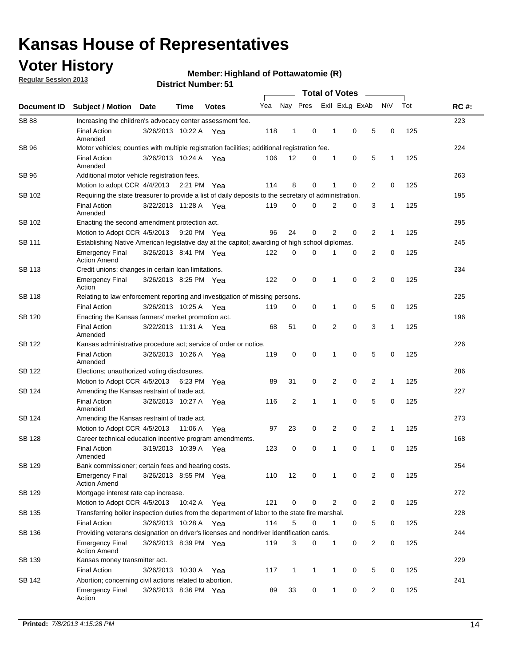## **Voter History**

**Regular Session 2013**

#### **Member: Highland of Pottawatomie (R)**

| Document ID   | <b>Subject / Motion Date</b>                                                                          |                                                                                | Time    | <b>Votes</b> | Yea | Nay Pres       |              |   | Exll ExLg ExAb |                | <b>NV</b>    | Tot | <b>RC#:</b> |  |  |  |  |  |  |
|---------------|-------------------------------------------------------------------------------------------------------|--------------------------------------------------------------------------------|---------|--------------|-----|----------------|--------------|---|----------------|----------------|--------------|-----|-------------|--|--|--|--|--|--|
| <b>SB 88</b>  | Increasing the children's advocacy center assessment fee.                                             |                                                                                |         |              |     |                |              |   |                |                |              |     | 223         |  |  |  |  |  |  |
|               | <b>Final Action</b><br>Amended                                                                        | 3/26/2013 10:22 A Yea                                                          |         |              | 118 | $\mathbf{1}$   | 0            | 1 | 0              | 5              | 0            | 125 |             |  |  |  |  |  |  |
| SB 96         | Motor vehicles; counties with multiple registration facilities; additional registration fee.          |                                                                                |         |              |     |                |              |   |                |                |              |     | 224         |  |  |  |  |  |  |
|               | <b>Final Action</b><br>Amended                                                                        | 3/26/2013 10:24 A Yea                                                          |         |              | 106 | 12             | 0            | 1 | 0              | 5              | 1            | 125 |             |  |  |  |  |  |  |
| SB 96         | Additional motor vehicle registration fees.                                                           |                                                                                |         |              |     |                |              |   |                |                |              |     | 263         |  |  |  |  |  |  |
|               | Motion to adopt CCR 4/4/2013 2:21 PM Yea                                                              |                                                                                |         |              | 114 | 8              | 0            | 1 | 0              | 2              | 0            | 125 |             |  |  |  |  |  |  |
| SB 102        | Requiring the state treasurer to provide a list of daily deposits to the secretary of administration. |                                                                                |         |              |     |                |              |   |                |                |              |     | 195         |  |  |  |  |  |  |
|               | <b>Final Action</b><br>Amended                                                                        | 3/22/2013 11:28 A Yea                                                          |         |              | 119 | 0              | 0            | 2 | 0              | 3              | 1            | 125 |             |  |  |  |  |  |  |
| SB 102        | Enacting the second amendment protection act.                                                         |                                                                                |         |              |     |                |              |   |                |                |              |     | 295         |  |  |  |  |  |  |
|               | Motion to Adopt CCR 4/5/2013                                                                          |                                                                                |         | 9:20 PM Yea  | 96  | 24             | 0            | 2 | 0              | $\overline{2}$ | 1            | 125 |             |  |  |  |  |  |  |
| SB 111        | Establishing Native American legislative day at the capitol; awarding of high school diplomas.        |                                                                                |         |              |     |                |              |   |                |                |              |     | 245         |  |  |  |  |  |  |
|               | <b>Emergency Final</b><br><b>Action Amend</b>                                                         | 3/26/2013 8:41 PM Yea                                                          |         |              | 122 | 0              | 0            | 1 | 0              | 2              | 0            | 125 |             |  |  |  |  |  |  |
| SB 113        | Credit unions; changes in certain loan limitations.                                                   |                                                                                |         |              |     |                |              |   |                |                |              |     | 234         |  |  |  |  |  |  |
|               | <b>Emergency Final</b><br>Action                                                                      | 3/26/2013 8:25 PM Yea                                                          |         |              | 122 | 0              | 0            | 1 | 0              | 2              | 0            | 125 |             |  |  |  |  |  |  |
| SB 118        | 225<br>Relating to law enforcement reporting and investigation of missing persons.                    |                                                                                |         |              |     |                |              |   |                |                |              |     |             |  |  |  |  |  |  |
|               | <b>Final Action</b>                                                                                   | 3/26/2013 10:25 A Yea                                                          |         |              | 119 | 0              | 0            | 1 | 0              | 5              | 0            | 125 |             |  |  |  |  |  |  |
| SB 120        | Enacting the Kansas farmers' market promotion act.                                                    |                                                                                |         |              |     |                |              |   |                |                |              |     | 196         |  |  |  |  |  |  |
|               | <b>Final Action</b><br>Amended                                                                        | 3/22/2013 11:31 A Yea                                                          |         |              | 68  | 51             | 0            | 2 | $\mathbf 0$    | 3              | $\mathbf{1}$ | 125 |             |  |  |  |  |  |  |
| SB 122        | Kansas administrative procedure act; service of order or notice.                                      |                                                                                |         |              |     |                |              |   |                |                |              |     | 226         |  |  |  |  |  |  |
|               | <b>Final Action</b><br>Amended                                                                        | 3/26/2013 10:26 A                                                              |         | Yea          | 119 | 0              | 0            | 1 | $\mathbf 0$    | 5              | 0            | 125 |             |  |  |  |  |  |  |
| SB 122        | Elections; unauthorized voting disclosures.                                                           |                                                                                |         |              |     |                |              |   |                |                |              |     | 286         |  |  |  |  |  |  |
|               | Motion to Adopt CCR 4/5/2013                                                                          |                                                                                | 6:23 PM | Yea          | 89  | 31             | 0            | 2 | 0              | 2              | 1            | 125 |             |  |  |  |  |  |  |
| SB 124        | Amending the Kansas restraint of trade act.                                                           |                                                                                |         |              |     |                |              |   |                |                |              |     | 227         |  |  |  |  |  |  |
|               | <b>Final Action</b><br>Amended                                                                        | 3/26/2013 10:27 A                                                              |         | Yea          | 116 | $\overline{2}$ | 1            | 1 | 0              | 5              | 0            | 125 |             |  |  |  |  |  |  |
| SB 124        | Amending the Kansas restraint of trade act.                                                           |                                                                                |         |              |     |                |              |   |                |                |              | 273 |             |  |  |  |  |  |  |
|               | Motion to Adopt CCR 4/5/2013                                                                          |                                                                                | 11:06 A | Yea          | 97  | 23             | 0            | 2 | 0              | $\overline{2}$ | $\mathbf{1}$ | 125 |             |  |  |  |  |  |  |
| <b>SB 128</b> | Career technical education incentive program amendments.                                              |                                                                                |         |              |     |                |              |   |                |                |              |     | 168         |  |  |  |  |  |  |
|               | <b>Final Action</b><br>Amended                                                                        | 3/19/2013 10:39 A Yea                                                          |         |              | 123 | 0              | 0            | 1 | 0              | 1              | 0            | 125 |             |  |  |  |  |  |  |
| <b>SB 129</b> | Bank commissioner; certain fees and hearing costs.                                                    |                                                                                |         |              |     |                |              |   |                |                |              |     | 254         |  |  |  |  |  |  |
|               | <b>Emergency Final</b><br><b>Action Amend</b>                                                         | 3/26/2013 8:55 PM Yea                                                          |         |              | 110 | 12             | 0            | 1 | 0              | 2              | 0            | 125 |             |  |  |  |  |  |  |
| SB 129        | Mortgage interest rate cap increase.                                                                  |                                                                                |         |              |     |                |              |   |                |                |              |     | 272         |  |  |  |  |  |  |
|               | Motion to Adopt CCR 4/5/2013                                                                          |                                                                                | 10:42 A | Yea          | 121 | 0              | 0            | 2 | 0              | $\overline{c}$ | 0            | 125 |             |  |  |  |  |  |  |
| SB 135        | Transferring boiler inspection duties from the department of labor to the state fire marshal.         |                                                                                |         |              |     |                |              |   |                |                |              |     | 228         |  |  |  |  |  |  |
|               | <b>Final Action</b>                                                                                   | 3/26/2013 10:28 A Yea                                                          |         |              | 114 | 5              | 0            | 1 | 0              | 5              | 0            | 125 |             |  |  |  |  |  |  |
| SB 136        | Providing veterans designation on driver's licenses and nondriver identification cards.               |                                                                                |         |              |     |                |              |   |                |                |              |     | 244         |  |  |  |  |  |  |
|               | <b>Emergency Final</b><br><b>Action Amend</b>                                                         | $\overline{c}$<br>119<br>3<br>0<br>0<br>0<br>125<br>3/26/2013 8:39 PM Yea<br>1 |         |              |     |                |              |   |                |                |              |     |             |  |  |  |  |  |  |
| SB 139        | Kansas money transmitter act.                                                                         |                                                                                |         |              |     |                |              |   |                |                |              |     | 229         |  |  |  |  |  |  |
|               | <b>Final Action</b>                                                                                   | 3/26/2013 10:30 A                                                              |         | Yea          | 117 | $\mathbf{1}$   | $\mathbf{1}$ | 1 | 0              | 5              | 0            | 125 |             |  |  |  |  |  |  |
| SB 142        | Abortion; concerning civil actions related to abortion.                                               |                                                                                |         |              |     |                |              |   |                |                |              |     | 241         |  |  |  |  |  |  |
|               | <b>Emergency Final</b><br>Action                                                                      | 3/26/2013 8:36 PM Yea                                                          |         |              | 89  | 33             | 0            | 1 | 0              | 2              | 0            | 125 |             |  |  |  |  |  |  |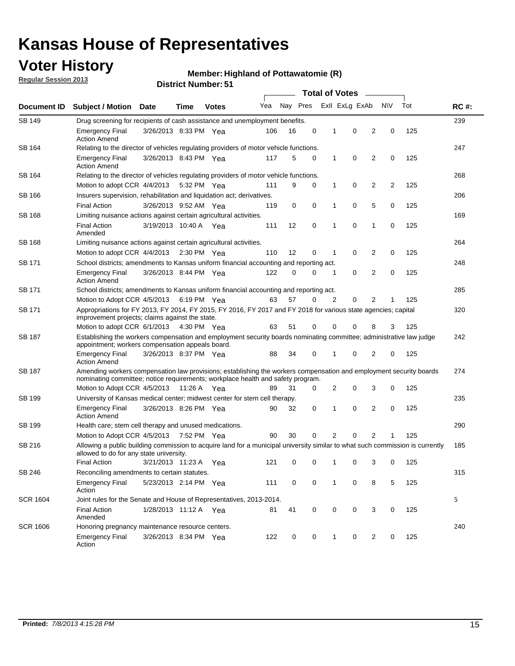## **Voter History**

**Regular Session 2013**

#### **Member: Highland of Pottawatomie (R)**

|                 |                                                                                                                                                                                                       |                                                                                                                                                                         |      |              |     | <b>Total of Votes</b> |   |              |                |                |           |     |             |  |  |  |  |  |  |
|-----------------|-------------------------------------------------------------------------------------------------------------------------------------------------------------------------------------------------------|-------------------------------------------------------------------------------------------------------------------------------------------------------------------------|------|--------------|-----|-----------------------|---|--------------|----------------|----------------|-----------|-----|-------------|--|--|--|--|--|--|
| Document ID     | <b>Subject / Motion</b>                                                                                                                                                                               | Date                                                                                                                                                                    | Time | <b>Votes</b> | Yea | Nay Pres              |   |              | Exll ExLg ExAb |                | <b>NV</b> | Tot | <b>RC#:</b> |  |  |  |  |  |  |
| <b>SB 149</b>   | Drug screening for recipients of cash assistance and unemployment benefits.                                                                                                                           |                                                                                                                                                                         |      |              |     |                       |   |              |                |                |           |     | 239         |  |  |  |  |  |  |
|                 | <b>Emergency Final</b><br><b>Action Amend</b>                                                                                                                                                         | 3/26/2013 8:33 PM Yea                                                                                                                                                   |      |              | 106 | 16                    | 0 | 1            | 0              | 2              | 0         | 125 |             |  |  |  |  |  |  |
| SB 164          | Relating to the director of vehicles regulating providers of motor vehicle functions.                                                                                                                 |                                                                                                                                                                         |      |              |     |                       |   |              |                |                |           |     | 247         |  |  |  |  |  |  |
|                 | <b>Emergency Final</b><br><b>Action Amend</b>                                                                                                                                                         | 3/26/2013 8:43 PM Yea                                                                                                                                                   |      |              | 117 | 5                     | 0 | 1            | 0              | 2              | 0         | 125 |             |  |  |  |  |  |  |
| SB 164          | Relating to the director of vehicles regulating providers of motor vehicle functions.                                                                                                                 |                                                                                                                                                                         |      |              |     |                       |   |              |                |                |           |     | 268         |  |  |  |  |  |  |
|                 | Motion to adopt CCR 4/4/2013 5:32 PM Yea                                                                                                                                                              |                                                                                                                                                                         |      |              | 111 | 9                     | 0 | $\mathbf{1}$ | 0              | 2              | 2         | 125 |             |  |  |  |  |  |  |
| SB 166          | Insurers supervision, rehabilitation and liquidation act; derivatives.                                                                                                                                |                                                                                                                                                                         |      |              |     |                       |   |              |                | 206            |           |     |             |  |  |  |  |  |  |
|                 | <b>Final Action</b>                                                                                                                                                                                   | 3/26/2013 9:52 AM Yea                                                                                                                                                   |      |              | 119 | 0                     | 0 | 1            | 0              | 5              | 0         | 125 |             |  |  |  |  |  |  |
| <b>SB 168</b>   | Limiting nuisance actions against certain agricultural activities.                                                                                                                                    |                                                                                                                                                                         |      |              |     |                       |   |              |                |                |           |     | 169         |  |  |  |  |  |  |
|                 | <b>Final Action</b><br>Amended                                                                                                                                                                        | 3/19/2013 10:40 A Yea                                                                                                                                                   |      |              | 111 | 12                    | 0 | 1            | $\mathbf 0$    | 1              | 0         | 125 |             |  |  |  |  |  |  |
| SB 168          | Limiting nuisance actions against certain agricultural activities.                                                                                                                                    |                                                                                                                                                                         |      |              |     |                       |   |              |                |                |           |     | 264         |  |  |  |  |  |  |
|                 | Motion to adopt CCR 4/4/2013                                                                                                                                                                          |                                                                                                                                                                         |      | 2:30 PM Yea  | 110 | 12                    | 0 | 1            | 0              | 2              | 0         | 125 |             |  |  |  |  |  |  |
| SB 171          | School districts; amendments to Kansas uniform financial accounting and reporting act.                                                                                                                |                                                                                                                                                                         |      |              |     |                       |   |              |                |                |           |     | 248         |  |  |  |  |  |  |
|                 | <b>Emergency Final</b><br><b>Action Amend</b>                                                                                                                                                         | 3/26/2013 8:44 PM Yea                                                                                                                                                   |      |              | 122 | 0                     | 0 | 1            | 0              | 2              | 0         | 125 |             |  |  |  |  |  |  |
| SB 171          | School districts; amendments to Kansas uniform financial accounting and reporting act.                                                                                                                |                                                                                                                                                                         |      |              |     |                       |   |              |                |                |           |     | 285         |  |  |  |  |  |  |
|                 | Motion to Adopt CCR 4/5/2013 6:19 PM Yea                                                                                                                                                              |                                                                                                                                                                         |      |              | 63  | 57                    | 0 | 2            | 0              | 2<br>125<br>1  |           |     |             |  |  |  |  |  |  |
| SB 171          | Appropriations for FY 2013, FY 2014, FY 2015, FY 2016, FY 2017 and FY 2018 for various state agencies; capital<br>improvement projects; claims against the state.                                     |                                                                                                                                                                         |      |              |     |                       |   |              |                |                |           | 320 |             |  |  |  |  |  |  |
|                 | Motion to adopt CCR 6/1/2013 4:30 PM Yea                                                                                                                                                              |                                                                                                                                                                         |      |              | 63  | 51                    | 0 | 0            | 0              | 8              | 3         | 125 |             |  |  |  |  |  |  |
| SB 187          |                                                                                                                                                                                                       | Establishing the workers compensation and employment security boards nominating committee; administrative law judge<br>appointment; workers compensation appeals board. |      |              |     |                       |   |              |                |                |           |     |             |  |  |  |  |  |  |
|                 | <b>Emergency Final</b><br><b>Action Amend</b>                                                                                                                                                         | 3/26/2013 8:37 PM Yea                                                                                                                                                   |      |              | 88  | 34                    | 0 | 1            | 0              | 2              | 0         | 125 |             |  |  |  |  |  |  |
| SB 187          | Amending workers compensation law provisions; establishing the workers compensation and employment security boards<br>nominating committee; notice requirements; workplace health and safety program. |                                                                                                                                                                         |      |              |     |                       |   |              |                |                |           |     | 274         |  |  |  |  |  |  |
|                 | Motion to Adopt CCR 4/5/2013 11:26 A Yea                                                                                                                                                              |                                                                                                                                                                         |      |              | 89  | 31                    | 0 | 2            | 0              | 3              | 0         | 125 |             |  |  |  |  |  |  |
| SB 199          | University of Kansas medical center; midwest center for stem cell therapy.                                                                                                                            |                                                                                                                                                                         |      |              |     |                       |   |              |                |                |           |     | 235         |  |  |  |  |  |  |
|                 | <b>Emergency Final</b><br><b>Action Amend</b>                                                                                                                                                         | 3/26/2013 8:26 PM Yea                                                                                                                                                   |      |              | 90  | 32                    | 0 | 1            | 0              | 2              | 0         | 125 |             |  |  |  |  |  |  |
| SB 199          | Health care; stem cell therapy and unused medications.                                                                                                                                                |                                                                                                                                                                         |      |              |     |                       |   |              |                |                |           |     | 290         |  |  |  |  |  |  |
|                 | Motion to Adopt CCR 4/5/2013 7:52 PM Yea                                                                                                                                                              |                                                                                                                                                                         |      |              | 90  | 30                    | 0 | 2            | 0              | $\overline{2}$ | 1         | 125 |             |  |  |  |  |  |  |
| SB 216          | Allowing a public building commission to acquire land for a municipal university similar to what such commission is currently<br>allowed to do for any state university.                              |                                                                                                                                                                         |      |              |     |                       |   |              |                |                |           |     | 185         |  |  |  |  |  |  |
|                 | <b>Final Action</b>                                                                                                                                                                                   | 3/21/2013 11:23 A Yea                                                                                                                                                   |      |              | 121 | 0                     | 0 | 1            | 0              | 3              | 0         | 125 |             |  |  |  |  |  |  |
| SB 246          | Reconciling amendments to certain statutes.                                                                                                                                                           |                                                                                                                                                                         |      |              |     |                       |   |              |                |                |           |     | 315         |  |  |  |  |  |  |
|                 | <b>Emergency Final</b><br>Action                                                                                                                                                                      | 5/23/2013 2:14 PM Yea                                                                                                                                                   |      |              | 111 | 0                     | 0 | 1            | 0              | 8              | 5         | 125 |             |  |  |  |  |  |  |
| <b>SCR 1604</b> | Joint rules for the Senate and House of Representatives, 2013-2014.                                                                                                                                   |                                                                                                                                                                         |      |              |     |                       |   |              |                |                |           |     | 5           |  |  |  |  |  |  |
|                 | <b>Final Action</b><br>Amended                                                                                                                                                                        | 1/28/2013 11:12 A Yea                                                                                                                                                   |      |              | 81  | 41                    | 0 | 0            | 0              | 3              | 0         | 125 |             |  |  |  |  |  |  |
| <b>SCR 1606</b> | Honoring pregnancy maintenance resource centers.                                                                                                                                                      |                                                                                                                                                                         |      |              |     |                       |   |              |                |                |           |     | 240         |  |  |  |  |  |  |
|                 | <b>Emergency Final</b><br>Action                                                                                                                                                                      | 3/26/2013 8:34 PM Yea                                                                                                                                                   |      |              | 122 | 0                     | 0 | 1            | 0              | 2              | 0         | 125 |             |  |  |  |  |  |  |